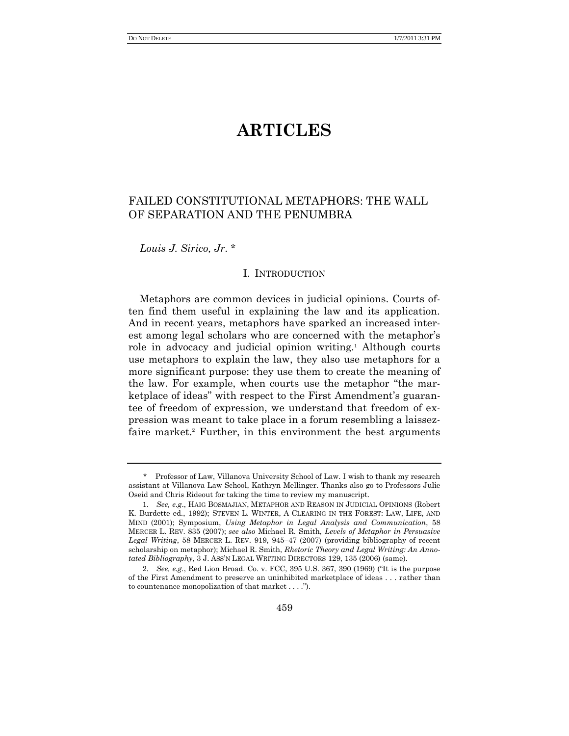# **ARTICLES**

# FAILED CONSTITUTIONAL METAPHORS: THE WALL OF SEPARATION AND THE PENUMBRA

*Louis J. Sirico, Jr*. \*

# I. INTRODUCTION

Metaphors are common devices in judicial opinions. Courts often find them useful in explaining the law and its application. And in recent years, metaphors have sparked an increased interest among legal scholars who are concerned with the metaphor's role in advocacy and judicial opinion writing.<sup>1</sup> Although courts use metaphors to explain the law, they also use metaphors for a more significant purpose: they use them to create the meaning of the law. For example, when courts use the metaphor "the marketplace of ideas" with respect to the First Amendment's guarantee of freedom of expression, we understand that freedom of expression was meant to take place in a forum resembling a laissezfaire market.<sup>2</sup> Further, in this environment the best arguments

<sup>\*</sup> Professor of Law, Villanova University School of Law. I wish to thank my research assistant at Villanova Law School, Kathryn Mellinger. Thanks also go to Professors Julie Oseid and Chris Rideout for taking the time to review my manuscript.

<sup>1</sup>*. See, e.g*., HAIG BOSMAJIAN, METAPHOR AND REASON IN JUDICIAL OPINIONS (Robert K. Burdette ed., 1992); STEVEN L. WINTER, A CLEARING IN THE FOREST: LAW, LIFE, AND MIND (2001); Symposium, *Using Metaphor in Legal Analysis and Communication*, 58 MERCER L. REV. 835 (2007); *see also* Michael R. Smith, *Levels of Metaphor in Persuasive Legal Writing*, 58 MERCER L. REV. 919, 945–47 (2007) (providing bibliography of recent scholarship on metaphor); Michael R. Smith, *Rhetoric Theory and Legal Writing: An Annotated Bibliography*, 3 J. ASS'N LEGAL WRITING DIRECTORS 129, 135 (2006) (same).

<sup>2.</sup> *See, e.g.*, Red Lion Broad. Co. v. FCC, 395 U.S. 367, 390 (1969) ("It is the purpose of the First Amendment to preserve an uninhibited marketplace of ideas . . . rather than to countenance monopolization of that market  $\dots$ .").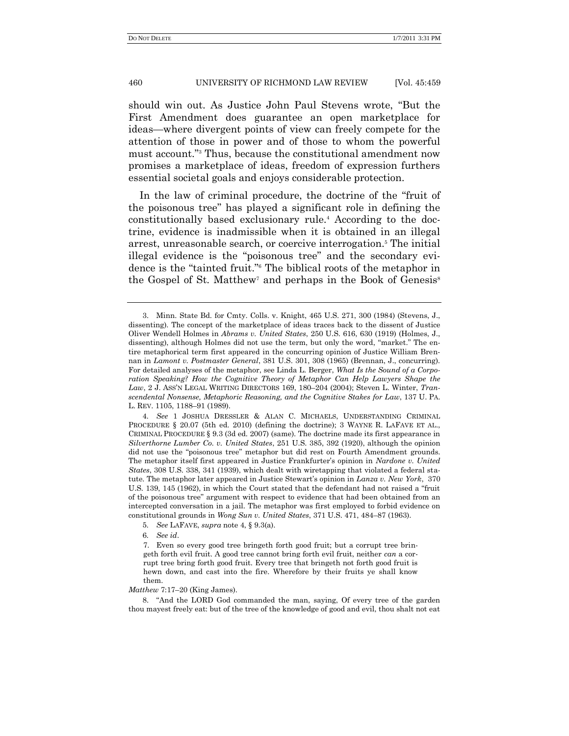should win out. As Justice John Paul Stevens wrote, "But the First Amendment does guarantee an open marketplace for ideas—where divergent points of view can freely compete for the attention of those in power and of those to whom the powerful must account."<sup>3</sup> Thus, because the constitutional amendment now promises a marketplace of ideas, freedom of expression furthers essential societal goals and enjoys considerable protection.

In the law of criminal procedure, the doctrine of the "fruit of the poisonous tree‖ has played a significant role in defining the constitutionally based exclusionary rule.<sup>4</sup> According to the doctrine, evidence is inadmissible when it is obtained in an illegal arrest, unreasonable search, or coercive interrogation.<sup>5</sup> The initial illegal evidence is the "poisonous tree" and the secondary evidence is the "tainted fruit." The biblical roots of the metaphor in the Gospel of St. Matthew<sup>7</sup> and perhaps in the Book of Genesis<sup>8</sup>

4*. See* 1 JOSHUA DRESSLER & ALAN C. MICHAELS, UNDERSTANDING CRIMINAL PROCEDURE § 20.07 (5th ed. 2010) (defining the doctrine); 3 WAYNE R. LAFAVE ET AL., CRIMINAL PROCEDURE § 9.3 (3d ed. 2007) (same). The doctrine made its first appearance in *Silverthorne Lumber Co. v. United States*, 251 U.S. 385, 392 (1920), although the opinion did not use the "poisonous tree" metaphor but did rest on Fourth Amendment grounds. The metaphor itself first appeared in Justice Frankfurter's opinion in *Nardone v. United States*, 308 U.S. 338, 341 (1939), which dealt with wiretapping that violated a federal statute. The metaphor later appeared in Justice Stewart's opinion in *Lanza v. New York*, 370 U.S. 139, 145 (1962), in which the Court stated that the defendant had not raised a "fruit of the poisonous tree‖ argument with respect to evidence that had been obtained from an intercepted conversation in a jail. The metaphor was first employed to forbid evidence on constitutional grounds in *Wong Sun v. United States*, 371 U.S. 471, 484–87 (1963).

6*. See id*.

7. Even so every good tree bringeth forth good fruit; but a corrupt tree bringeth forth evil fruit. A good tree cannot bring forth evil fruit, neither *can* a corrupt tree bring forth good fruit. Every tree that bringeth not forth good fruit is hewn down, and cast into the fire. Wherefore by their fruits ye shall know them.

#### *Matthew* 7:17–20 (King James).

8. "And the LORD God commanded the man, saying, Of every tree of the garden thou mayest freely eat: but of the tree of the knowledge of good and evil, thou shalt not eat

<sup>3.</sup> Minn. State Bd. for Cmty. Colls. v. Knight, 465 U.S. 271, 300 (1984) (Stevens, J., dissenting). The concept of the marketplace of ideas traces back to the dissent of Justice Oliver Wendell Holmes in *Abrams v. United States*, 250 U.S. 616, 630 (1919) (Holmes, J., dissenting), although Holmes did not use the term, but only the word, "market." The entire metaphorical term first appeared in the concurring opinion of Justice William Brennan in *Lamont v. Postmaster General*, 381 U.S. 301, 308 (1965) (Brennan, J., concurring). For detailed analyses of the metaphor, see Linda L. Berger, *What Is the Sound of a Corporation Speaking? How the Cognitive Theory of Metaphor Can Help Lawyers Shape the Law*, 2 J. ASS'N LEGAL WRITING DIRECTORS 169, 180–204 (2004); Steven L. Winter, *Transcendental Nonsense, Metaphoric Reasoning, and the Cognitive Stakes for Law*, 137 U. PA. L. REV. 1105, 1188–91 (1989).

<sup>5</sup>*. See* LAFAVE, *supra* note 4, § 9.3(a).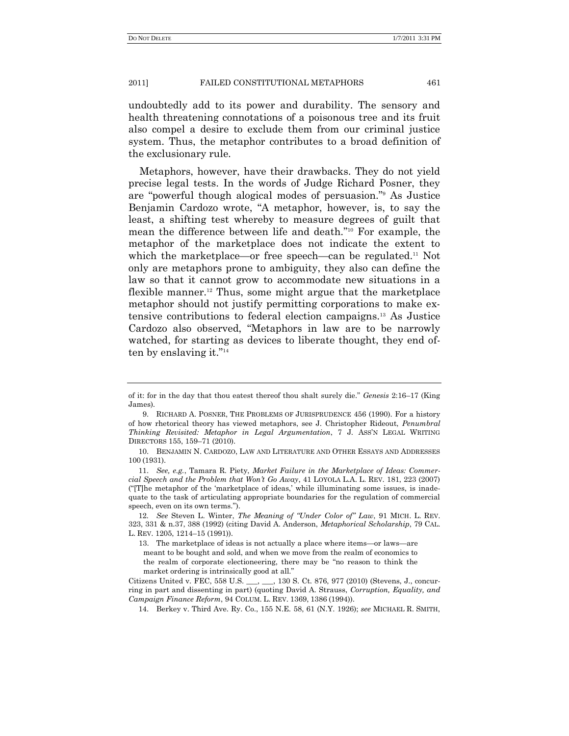undoubtedly add to its power and durability. The sensory and health threatening connotations of a poisonous tree and its fruit also compel a desire to exclude them from our criminal justice system. Thus, the metaphor contributes to a broad definition of the exclusionary rule.

Metaphors, however, have their drawbacks. They do not yield precise legal tests. In the words of Judge Richard Posner, they are "powerful though alogical modes of persuasion." As Justice Benjamin Cardozo wrote, "A metaphor, however, is, to say the least, a shifting test whereby to measure degrees of guilt that mean the difference between life and death."<sup>10</sup> For example, the metaphor of the marketplace does not indicate the extent to which the marketplace—or free speech—can be regulated.<sup>11</sup> Not only are metaphors prone to ambiguity, they also can define the law so that it cannot grow to accommodate new situations in a flexible manner.<sup>12</sup> Thus, some might argue that the marketplace metaphor should not justify permitting corporations to make extensive contributions to federal election campaigns.<sup>13</sup> As Justice Cardozo also observed, "Metaphors in law are to be narrowly watched, for starting as devices to liberate thought, they end often by enslaving it." $14$ 

of it: for in the day that thou eatest thereof thou shalt surely die.‖ *Genesis* 2:16–17 (King James).

<sup>9.</sup> RICHARD A. POSNER, THE PROBLEMS OF JURISPRUDENCE 456 (1990). For a history of how rhetorical theory has viewed metaphors, see J. Christopher Rideout, *Penumbral Thinking Revisited: Metaphor in Legal Argumentation*, 7 J. ASS'N LEGAL WRITING DIRECTORS 155, 159–71 (2010).

<sup>10.</sup> BENJAMIN N. CARDOZO, LAW AND LITERATURE AND OTHER ESSAYS AND ADDRESSES 100 (1931).

<sup>11.</sup> *See, e.g.*, Tamara R. Piety, *Market Failure in the Marketplace of Ideas: Commercial Speech and the Problem that Won"t Go Away*, 41 LOYOLA L.A. L. REV. 181, 223 (2007)  $^{\prime\prime}$ [T]he metaphor of the 'marketplace of ideas,' while illuminating some issues, is inadequate to the task of articulating appropriate boundaries for the regulation of commercial speech, even on its own terms.").

<sup>12</sup>*. See* Steven L. Winter, *The Meaning of "Under Color of" Law*, 91 MICH. L. REV. 323, 331 & n.37, 388 (1992) (citing David A. Anderson, *Metaphorical Scholarship*, 79 CAL. L. REV. 1205, 1214–15 (1991)).

<sup>13.</sup> The marketplace of ideas is not actually a place where items—or laws—are meant to be bought and sold, and when we move from the realm of economics to the realm of corporate electioneering, there may be "no reason to think the market ordering is intrinsically good at all."

Citizens United v. FEC, 558 U.S. \_\_\_, \_\_\_, 130 S. Ct. 876, 977 (2010) (Stevens, J., concurring in part and dissenting in part) (quoting David A. Strauss, *Corruption, Equality, and Campaign Finance Reform*, 94 COLUM. L. REV. 1369, 1386 (1994)).

<sup>14.</sup> Berkey v. Third Ave. Ry. Co., 155 N.E. 58, 61 (N.Y. 1926); *see* MICHAEL R. SMITH,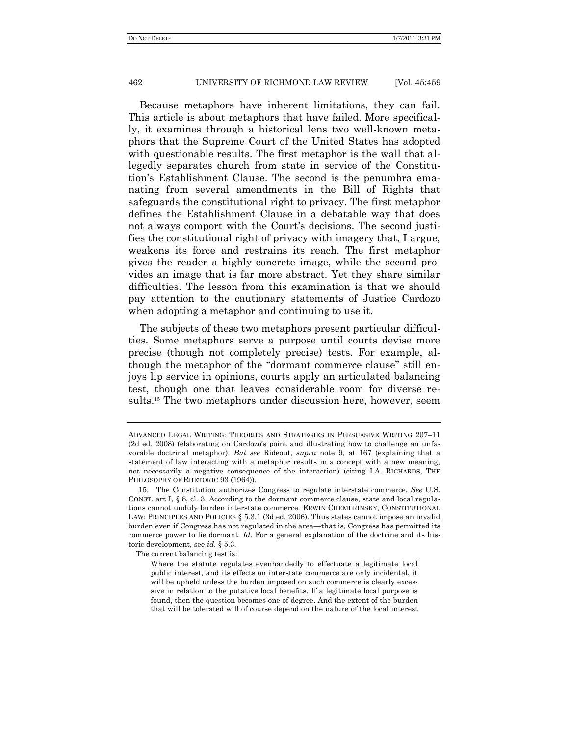Because metaphors have inherent limitations, they can fail. This article is about metaphors that have failed. More specifically, it examines through a historical lens two well-known metaphors that the Supreme Court of the United States has adopted with questionable results. The first metaphor is the wall that allegedly separates church from state in service of the Constitution's Establishment Clause. The second is the penumbra emanating from several amendments in the Bill of Rights that safeguards the constitutional right to privacy. The first metaphor defines the Establishment Clause in a debatable way that does not always comport with the Court's decisions. The second justifies the constitutional right of privacy with imagery that, I argue, weakens its force and restrains its reach. The first metaphor gives the reader a highly concrete image, while the second provides an image that is far more abstract. Yet they share similar difficulties. The lesson from this examination is that we should pay attention to the cautionary statements of Justice Cardozo when adopting a metaphor and continuing to use it.

The subjects of these two metaphors present particular difficulties. Some metaphors serve a purpose until courts devise more precise (though not completely precise) tests. For example, although the metaphor of the "dormant commerce clause" still enjoys lip service in opinions, courts apply an articulated balancing test, though one that leaves considerable room for diverse results.<sup>15</sup> The two metaphors under discussion here, however, seem

The current balancing test is:

ADVANCED LEGAL WRITING: THEORIES AND STRATEGIES IN PERSUASIVE WRITING 207–11 (2d ed. 2008) (elaborating on Cardozo's point and illustrating how to challenge an unfavorable doctrinal metaphor). *But see* Rideout, *supra* note 9, at 167 (explaining that a statement of law interacting with a metaphor results in a concept with a new meaning, not necessarily a negative consequence of the interaction) (citing I.A. RICHARDS, THE PHILOSOPHY OF RHETORIC 93 (1964)).

<sup>15.</sup> The Constitution authorizes Congress to regulate interstate commerce. *See* U.S. CONST. art I, § 8, cl. 3. According to the dormant commerce clause, state and local regulations cannot unduly burden interstate commerce. ERWIN CHEMERINSKY, CONSTITUTIONAL LAW: PRINCIPLES AND POLICIES § 5.3.1 (3d ed. 2006). Thus states cannot impose an invalid burden even if Congress has not regulated in the area—that is, Congress has permitted its commerce power to lie dormant. *Id*. For a general explanation of the doctrine and its historic development, see *id*. § 5.3.

Where the statute regulates evenhandedly to effectuate a legitimate local public interest, and its effects on interstate commerce are only incidental, it will be upheld unless the burden imposed on such commerce is clearly excessive in relation to the putative local benefits. If a legitimate local purpose is found, then the question becomes one of degree. And the extent of the burden that will be tolerated will of course depend on the nature of the local interest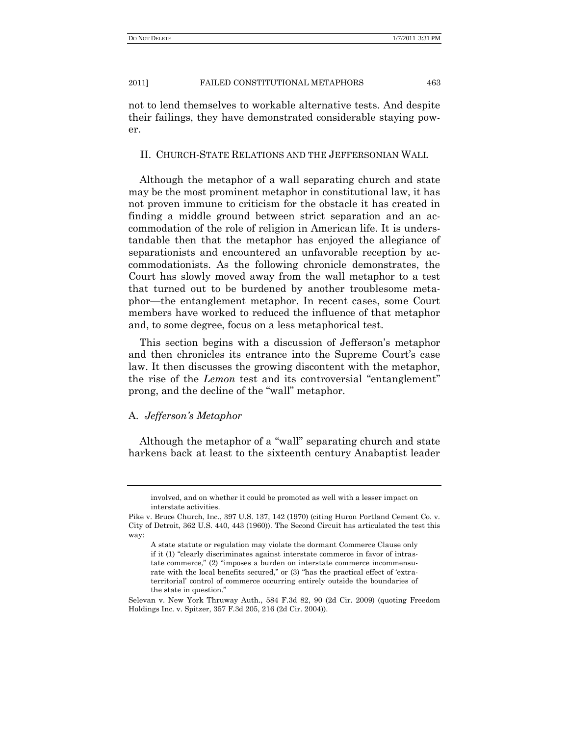not to lend themselves to workable alternative tests. And despite their failings, they have demonstrated considerable staying power.

# II. CHURCH-STATE RELATIONS AND THE JEFFERSONIAN WALL

Although the metaphor of a wall separating church and state may be the most prominent metaphor in constitutional law, it has not proven immune to criticism for the obstacle it has created in finding a middle ground between strict separation and an accommodation of the role of religion in American life. It is understandable then that the metaphor has enjoyed the allegiance of separationists and encountered an unfavorable reception by accommodationists. As the following chronicle demonstrates, the Court has slowly moved away from the wall metaphor to a test that turned out to be burdened by another troublesome metaphor—the entanglement metaphor. In recent cases, some Court members have worked to reduced the influence of that metaphor and, to some degree, focus on a less metaphorical test.

This section begins with a discussion of Jefferson's metaphor and then chronicles its entrance into the Supreme Court's case law. It then discusses the growing discontent with the metaphor, the rise of the *Lemon* test and its controversial "entanglement" prong, and the decline of the "wall" metaphor.

# A. *Jefferson"s Metaphor*

Although the metaphor of a "wall" separating church and state harkens back at least to the sixteenth century Anabaptist leader

involved, and on whether it could be promoted as well with a lesser impact on interstate activities.

Pike v. Bruce Church, Inc., 397 U.S. 137, 142 (1970) (citing Huron Portland Cement Co. v. City of Detroit, 362 U.S. 440, 443 (1960)). The Second Circuit has articulated the test this way:

A state statute or regulation may violate the dormant Commerce Clause only if it (1) "clearly discriminates against interstate commerce in favor of intrastate commerce," (2) "imposes a burden on interstate commerce incommensurate with the local benefits secured," or (3) "has the practical effect of 'extraterritorial' control of commerce occurring entirely outside the boundaries of the state in question."

Selevan v. New York Thruway Auth., 584 F.3d 82, 90 (2d Cir. 2009) (quoting Freedom Holdings Inc. v. Spitzer, 357 F.3d 205, 216 (2d Cir. 2004)).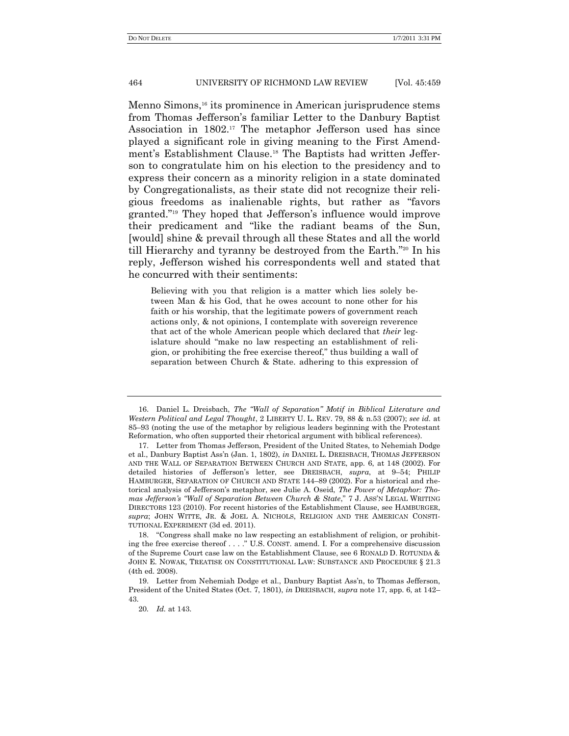Menno Simons, <sup>16</sup> its prominence in American jurisprudence stems from Thomas Jefferson's familiar Letter to the Danbury Baptist Association in 1802.<sup>17</sup> The metaphor Jefferson used has since played a significant role in giving meaning to the First Amendment's Establishment Clause.<sup>18</sup> The Baptists had written Jefferson to congratulate him on his election to the presidency and to express their concern as a minority religion in a state dominated by Congregationalists, as their state did not recognize their religious freedoms as inalienable rights, but rather as ―favors granted."<sup>19</sup> They hoped that Jefferson's influence would improve their predicament and "like the radiant beams of the Sun, [would] shine & prevail through all these States and all the world till Hierarchy and tyranny be destroyed from the Earth."<sup>20</sup> In his reply, Jefferson wished his correspondents well and stated that he concurred with their sentiments:

Believing with you that religion is a matter which lies solely between Man & his God, that he owes account to none other for his faith or his worship, that the legitimate powers of government reach actions only, & not opinions, I contemplate with sovereign reverence that act of the whole American people which declared that *their* legislature should "make no law respecting an establishment of religion, or prohibiting the free exercise thereof," thus building a wall of separation between Church & State. adhering to this expression of

<sup>16.</sup> Daniel L. Dreisbach, *The "Wall of Separation" Motif in Biblical Literature and Western Political and Legal Thought*, 2 LIBERTY U. L. REV. 79, 88 & n.53 (2007); *see id.* at 85–93 (noting the use of the metaphor by religious leaders beginning with the Protestant Reformation, who often supported their rhetorical argument with biblical references).

<sup>17.</sup> Letter from Thomas Jefferson, President of the United States, to Nehemiah Dodge et al., Danbury Baptist Ass'n (Jan. 1, 1802), *in* DANIEL L. DREISBACH, THOMAS JEFFERSON AND THE WALL OF SEPARATION BETWEEN CHURCH AND STATE, app. 6, at 148 (2002). For detailed histories of Jefferson's letter, see DREISBACH, *supra*, at 9–54; PHILIP HAMBURGER, SEPARATION OF CHURCH AND STATE 144–89 (2002). For a historical and rhetorical analysis of Jefferson's metaphor, see Julie A. Oseid, *The Power of Metaphor: Thomas Jefferson's "Wall of Separation Between Church & State," 7 J. ASS'N LEGAL WRITING* DIRECTORS 123 (2010). For recent histories of the Establishment Clause, see HAMBURGER, *supra*; JOHN WITTE, JR. & JOEL A. NICHOLS, RELIGION AND THE AMERICAN CONSTI-TUTIONAL EXPERIMENT (3d ed. 2011).

<sup>18. &</sup>quot;Congress shall make no law respecting an establishment of religion, or prohibiting the free exercise thereof . . . . " U.S. CONST. amend. I. For a comprehensive discussion of the Supreme Court case law on the Establishment Clause, see 6 RONALD D. ROTUNDA & JOHN E. NOWAK, TREATISE ON CONSTITUTIONAL LAW: SUBSTANCE AND PROCEDURE § 21.3 (4th ed. 2008).

<sup>19.</sup> Letter from Nehemiah Dodge et al., Danbury Baptist Ass'n, to Thomas Jefferson, President of the United States (Oct. 7, 1801), *in* DREISBACH, *supra* note 17, app. 6, at 142– 43.

<sup>20</sup>*. Id.* at 143.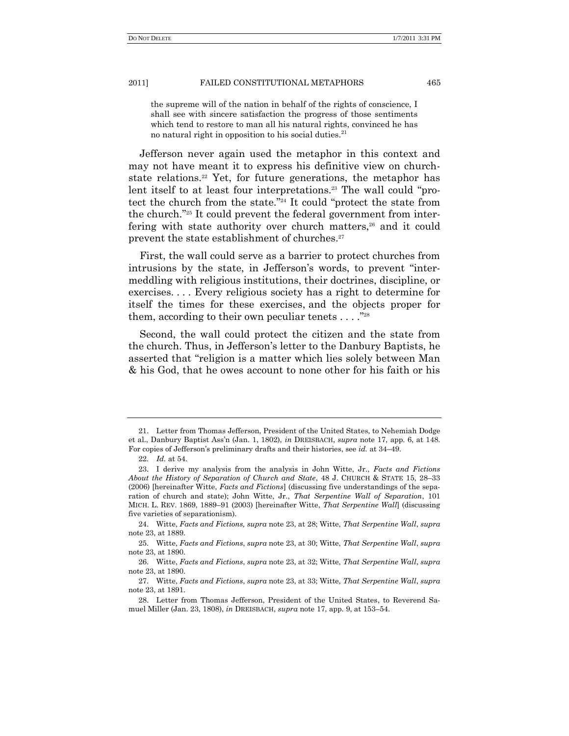the supreme will of the nation in behalf of the rights of conscience, I shall see with sincere satisfaction the progress of those sentiments which tend to restore to man all his natural rights, convinced he has no natural right in opposition to his social duties. $21$ 

Jefferson never again used the metaphor in this context and may not have meant it to express his definitive view on churchstate relations.<sup>22</sup> Yet, for future generations, the metaphor has lent itself to at least four interpretations.<sup>23</sup> The wall could "protect the church from the state.<sup>"24</sup> It could "protect the state from the church."<sup>25</sup> It could prevent the federal government from interfering with state authority over church matters,<sup>26</sup> and it could prevent the state establishment of churches.<sup>27</sup>

First, the wall could serve as a barrier to protect churches from intrusions by the state, in Jefferson's words, to prevent "intermeddling with religious institutions, their doctrines, discipline, or exercises. . . . Every religious society has a right to determine for itself the times for these exercises, and the objects proper for them, according to their own peculiar tenets  $\dots$ ."<sup>28</sup>

Second, the wall could protect the citizen and the state from the church. Thus, in Jefferson's letter to the Danbury Baptists, he asserted that "religion is a matter which lies solely between Man & his God, that he owes account to none other for his faith or his

<sup>21.</sup> Letter from Thomas Jefferson, President of the United States, to Nehemiah Dodge et al., Danbury Baptist Ass'n (Jan. 1, 1802), *in* DREISBACH, *supra* note 17, app. 6, at 148. For copies of Jefferson's preliminary drafts and their histories, see *id.* at 34–49.

<sup>22</sup>*. Id.* at 54.

<sup>23.</sup> I derive my analysis from the analysis in John Witte, Jr., *Facts and Fictions About the History of Separation of Church and State*, 48 J. CHURCH & STATE 15, 28–33 (2006) [hereinafter Witte, *Facts and Fictions*] (discussing five understandings of the separation of church and state); John Witte, Jr., *That Serpentine Wall of Separation*, 101 MICH. L. REV. 1869, 1889–91 (2003) [hereinafter Witte, *That Serpentine Wall*] (discussing five varieties of separationism).

<sup>24.</sup> Witte, *Facts and Fictions, supra* note 23, at 28; Witte, *That Serpentine Wall*, *supra* note 23, at 1889.

<sup>25.</sup> Witte, *Facts and Fictions*, *supra* note 23, at 30; Witte, *That Serpentine Wall*, *supra* note 23, at 1890.

<sup>26.</sup> Witte, *Facts and Fictions*, *supra* note 23, at 32; Witte, *That Serpentine Wall*, *supra* note 23, at 1890.

<sup>27.</sup> Witte, *Facts and Fictions*, *supra* note 23, at 33; Witte, *That Serpentine Wall*, *supra* note 23, at 1891.

<sup>28.</sup> Letter from Thomas Jefferson, President of the United States, to Reverend Samuel Miller (Jan. 23, 1808), *in* DREISBACH, *supra* note 17, app. 9, at 153–54.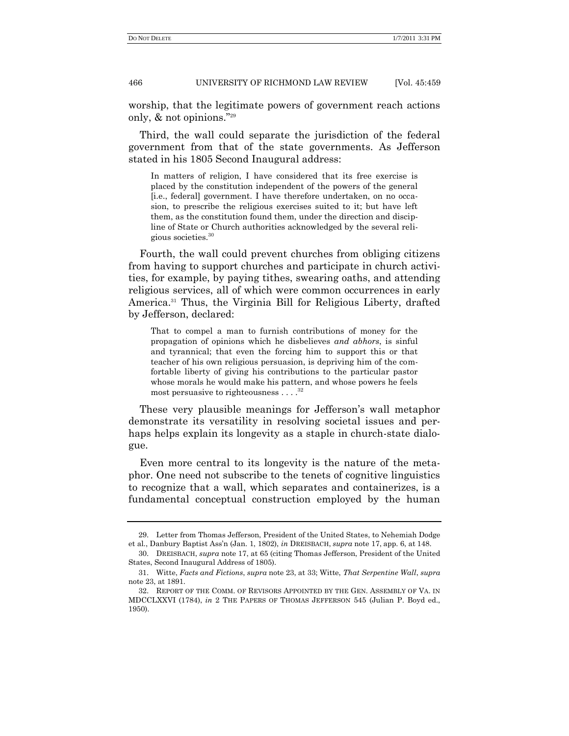worship, that the legitimate powers of government reach actions only,  $\&$  not opinions."29

Third, the wall could separate the jurisdiction of the federal government from that of the state governments. As Jefferson stated in his 1805 Second Inaugural address:

In matters of religion, I have considered that its free exercise is placed by the constitution independent of the powers of the general [i.e., federal] government. I have therefore undertaken, on no occasion, to prescribe the religious exercises suited to it; but have left them, as the constitution found them, under the direction and discipline of State or Church authorities acknowledged by the several religious societies.<sup>30</sup>

Fourth, the wall could prevent churches from obliging citizens from having to support churches and participate in church activities, for example, by paying tithes, swearing oaths, and attending religious services, all of which were common occurrences in early America.<sup>31</sup> Thus, the Virginia Bill for Religious Liberty, drafted by Jefferson, declared:

That to compel a man to furnish contributions of money for the propagation of opinions which he disbelieves *and abhors*, is sinful and tyrannical; that even the forcing him to support this or that teacher of his own religious persuasion, is depriving him of the comfortable liberty of giving his contributions to the particular pastor whose morals he would make his pattern, and whose powers he feels most persuasive to righteousness . . . . 32

These very plausible meanings for Jefferson's wall metaphor demonstrate its versatility in resolving societal issues and perhaps helps explain its longevity as a staple in church-state dialogue.

Even more central to its longevity is the nature of the metaphor. One need not subscribe to the tenets of cognitive linguistics to recognize that a wall, which separates and containerizes, is a fundamental conceptual construction employed by the human

<sup>29.</sup> Letter from Thomas Jefferson, President of the United States, to Nehemiah Dodge et al., Danbury Baptist Ass'n (Jan. 1, 1802), *in* DREISBACH, *supra* note 17, app. 6, at 148.

<sup>30.</sup> DREISBACH, *supra* note 17, at 65 (citing Thomas Jefferson, President of the United States, Second Inaugural Address of 1805).

<sup>31.</sup> Witte, *Facts and Fictions*, *supra* note 23, at 33; Witte, *That Serpentine Wall*, *supra* note 23, at 1891.

<sup>32.</sup> REPORT OF THE COMM. OF REVISORS APPOINTED BY THE GEN. ASSEMBLY OF VA. IN MDCCLXXVI (1784), *in* 2 THE PAPERS OF THOMAS JEFFERSON 545 (Julian P. Boyd ed., 1950).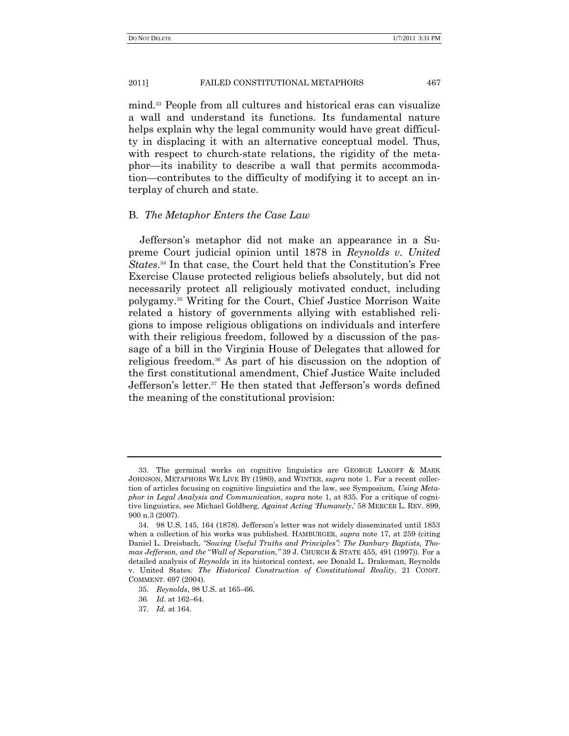mind.<sup>33</sup> People from all cultures and historical eras can visualize a wall and understand its functions. Its fundamental nature helps explain why the legal community would have great difficulty in displacing it with an alternative conceptual model. Thus, with respect to church-state relations, the rigidity of the metaphor—its inability to describe a wall that permits accommodation—contributes to the difficulty of modifying it to accept an interplay of church and state.

# B. *The Metaphor Enters the Case Law*

Jefferson's metaphor did not make an appearance in a Supreme Court judicial opinion until 1878 in *Reynolds v. United States*. <sup>34</sup> In that case, the Court held that the Constitution's Free Exercise Clause protected religious beliefs absolutely, but did not necessarily protect all religiously motivated conduct, including polygamy.<sup>35</sup> Writing for the Court, Chief Justice Morrison Waite related a history of governments allying with established religions to impose religious obligations on individuals and interfere with their religious freedom, followed by a discussion of the passage of a bill in the Virginia House of Delegates that allowed for religious freedom.<sup>36</sup> As part of his discussion on the adoption of the first constitutional amendment, Chief Justice Waite included Jefferson's letter.<sup>37</sup> He then stated that Jefferson's words defined the meaning of the constitutional provision:

<sup>33.</sup> The germinal works on cognitive linguistics are GEORGE LAKOFF & MARK JOHNSON, METAPHORS WE LIVE BY (1980), and WINTER, *supra* note 1. For a recent collection of articles focusing on cognitive linguistics and the law, see Symposium, *Using Metaphor in Legal Analysis and Communication*, *supra* note 1, at 835. For a critique of cognitive linguistics, see Michael Goldberg, *Against Acting "Humanely*,' 58 MERCER L. REV. 899, 900 n.3 (2007).

<sup>34.</sup> 98 U.S. 145, 164 (1878). Jefferson's letter was not widely disseminated until 1853 when a collection of his works was published. HAMBURGER, *supra* note 17, at 259 (citing Daniel L. Dreisbach, *"Sowing Useful Truths and Principles": The Danbury Baptists, Thomas Jefferson, and the "Wall of Separation,"* 39 J. CHURCH & STATE 455, 491 (1997)). For a detailed analysis of *Reynolds* in its historical context, see Donald L. Drakeman, Reynolds v. United States*: The Historical Construction of Constitutional Reality*, 21 CONST. COMMENT. 697 (2004).

<sup>35</sup>*. Reynolds*, 98 U.S. at 165–66.

<sup>36</sup>*. Id*. at 162–64.

<sup>37</sup>*. Id.* at 164.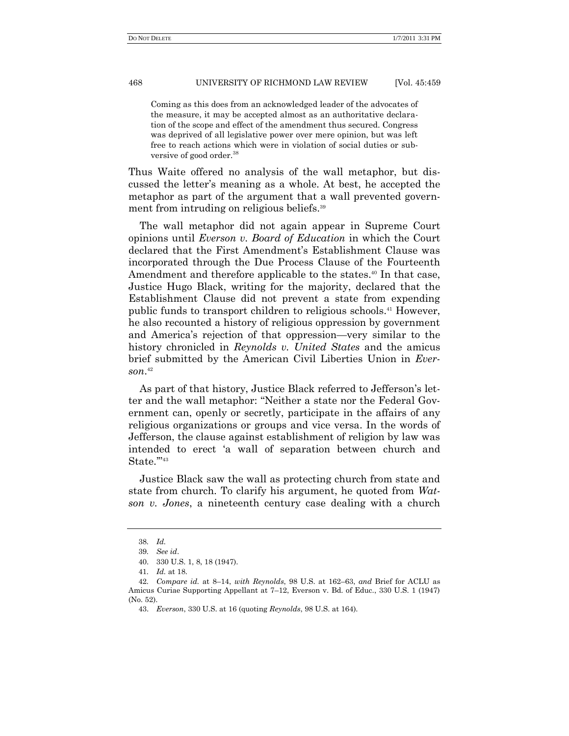Coming as this does from an acknowledged leader of the advocates of the measure, it may be accepted almost as an authoritative declaration of the scope and effect of the amendment thus secured. Congress was deprived of all legislative power over mere opinion, but was left free to reach actions which were in violation of social duties or subversive of good order.<sup>38</sup>

Thus Waite offered no analysis of the wall metaphor, but discussed the letter's meaning as a whole. At best, he accepted the metaphor as part of the argument that a wall prevented government from intruding on religious beliefs.<sup>39</sup>

The wall metaphor did not again appear in Supreme Court opinions until *Everson v. Board of Education* in which the Court declared that the First Amendment's Establishment Clause was incorporated through the Due Process Clause of the Fourteenth Amendment and therefore applicable to the states. <sup>40</sup> In that case, Justice Hugo Black, writing for the majority, declared that the Establishment Clause did not prevent a state from expending public funds to transport children to religious schools.<sup>41</sup> However, he also recounted a history of religious oppression by government and America's rejection of that oppression—very similar to the history chronicled in *Reynolds v. United States* and the amicus brief submitted by the American Civil Liberties Union in *Everson*. 42

As part of that history, Justice Black referred to Jefferson's letter and the wall metaphor: "Neither a state nor the Federal Government can, openly or secretly, participate in the affairs of any religious organizations or groups and vice versa. In the words of Jefferson, the clause against establishment of religion by law was intended to erect ‗a wall of separation between church and State."<sup>43</sup>

Justice Black saw the wall as protecting church from state and state from church. To clarify his argument, he quoted from *Watson v. Jones*, a nineteenth century case dealing with a church

<sup>38</sup>*. Id.*

<sup>39</sup>*. See id*.

<sup>40.</sup> 330 U.S. 1, 8, 18 (1947).

<sup>41</sup>*. Id.* at 18.

<sup>42</sup>*. Compare id.* at 8–14, *with Reynolds*, 98 U.S. at 162–63, *and* Brief for ACLU as Amicus Curiae Supporting Appellant at 7–12, Everson v. Bd. of Educ., 330 U.S. 1 (1947) (No. 52).

<sup>43.</sup> *Everson*, 330 U.S. at 16 (quoting *Reynolds*, 98 U.S. at 164).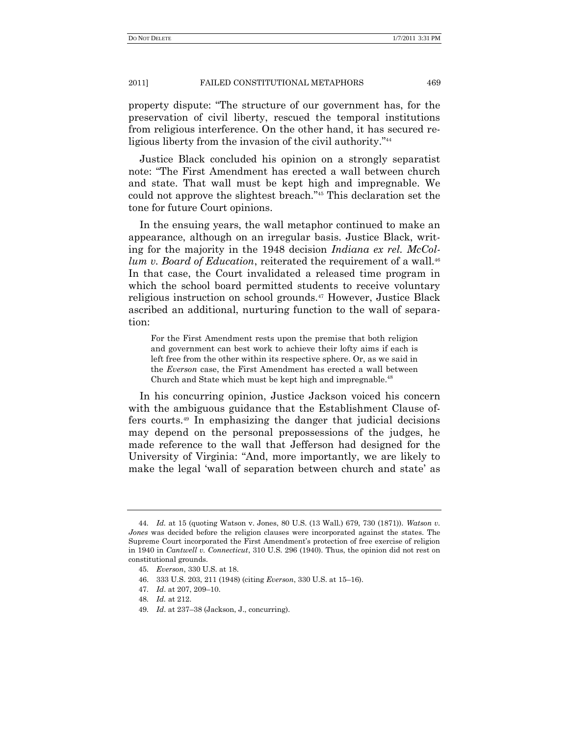property dispute: ―The structure of our government has, for the preservation of civil liberty, rescued the temporal institutions from religious interference. On the other hand, it has secured religious liberty from the invasion of the civil authority."<sup>44</sup>

Justice Black concluded his opinion on a strongly separatist note: "The First Amendment has erected a wall between church and state. That wall must be kept high and impregnable. We could not approve the slightest breach."<sup>45</sup> This declaration set the tone for future Court opinions.

In the ensuing years, the wall metaphor continued to make an appearance, although on an irregular basis. Justice Black, writing for the majority in the 1948 decision *Indiana ex rel. McCollum v. Board of Education*, reiterated the requirement of a wall.<sup>46</sup> In that case, the Court invalidated a released time program in which the school board permitted students to receive voluntary religious instruction on school grounds.<sup>47</sup> However, Justice Black ascribed an additional, nurturing function to the wall of separation:

For the First Amendment rests upon the premise that both religion and government can best work to achieve their lofty aims if each is left free from the other within its respective sphere. Or, as we said in the *Everson* case, the First Amendment has erected a wall between Church and State which must be kept high and impregnable.<sup>48</sup>

In his concurring opinion, Justice Jackson voiced his concern with the ambiguous guidance that the Establishment Clause offers courts.<sup>49</sup> In emphasizing the danger that judicial decisions may depend on the personal prepossessions of the judges, he made reference to the wall that Jefferson had designed for the University of Virginia: "And, more importantly, we are likely to make the legal 'wall of separation between church and state' as

<sup>44</sup>*. Id.* at 15 (quoting Watson v. Jones, 80 U.S. (13 Wall.) 679, 730 (1871)). *Watson v. Jones* was decided before the religion clauses were incorporated against the states. The Supreme Court incorporated the First Amendment's protection of free exercise of religion in 1940 in *Cantwell v. Connecticut*, 310 U.S. 296 (1940). Thus, the opinion did not rest on constitutional grounds.

<sup>45</sup>*. Everson*, 330 U.S. at 18.

<sup>46.</sup> 333 U.S. 203, 211 (1948) (citing *Everson*, 330 U.S. at 15–16).

<sup>47</sup>*. Id*. at 207, 209–10.

<sup>48</sup>*. Id.* at 212.

<sup>49</sup>*. Id*. at 237–38 (Jackson, J., concurring).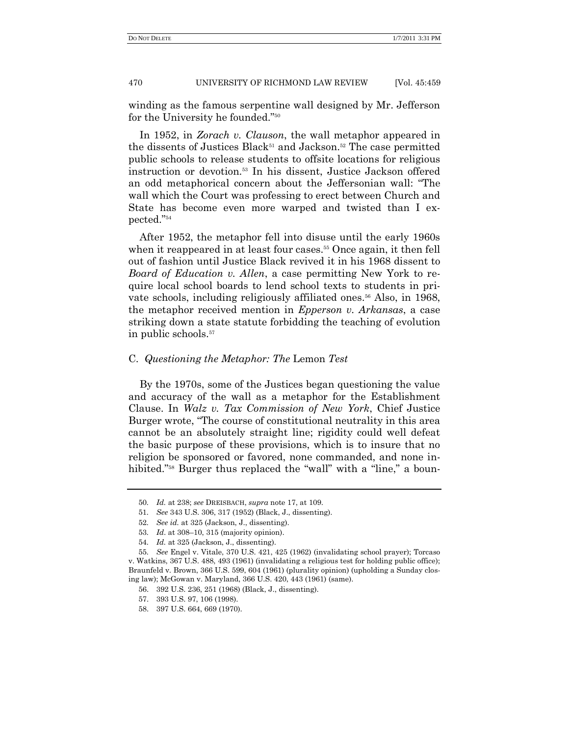winding as the famous serpentine wall designed by Mr. Jefferson for the University he founded."<sup>50</sup>

In 1952, in *Zorach v. Clauson*, the wall metaphor appeared in the dissents of Justices Black<sup>51</sup> and Jackson.<sup>52</sup> The case permitted public schools to release students to offsite locations for religious instruction or devotion.<sup>53</sup> In his dissent, Justice Jackson offered an odd metaphorical concern about the Jeffersonian wall: "The wall which the Court was professing to erect between Church and State has become even more warped and twisted than I ex $pected."$ <sup>54</sup>

After 1952, the metaphor fell into disuse until the early 1960s when it reappeared in at least four cases.<sup>55</sup> Once again, it then fell out of fashion until Justice Black revived it in his 1968 dissent to *Board of Education v. Allen*, a case permitting New York to require local school boards to lend school texts to students in private schools, including religiously affiliated ones.<sup>56</sup> Also, in 1968, the metaphor received mention in *Epperson v. Arkansas*, a case striking down a state statute forbidding the teaching of evolution in public schools.<sup>57</sup>

## C. *Questioning the Metaphor: The* Lemon *Test*

By the 1970s, some of the Justices began questioning the value and accuracy of the wall as a metaphor for the Establishment Clause. In *Walz v. Tax Commission of New York*, Chief Justice Burger wrote, "The course of constitutional neutrality in this area cannot be an absolutely straight line; rigidity could well defeat the basic purpose of these provisions, which is to insure that no religion be sponsored or favored, none commanded, and none inhibited."<sup>58</sup> Burger thus replaced the "wall" with a "line," a boun-

<sup>50</sup>*. Id.* at 238; *see* DREISBACH, *supra* note 17, at 109.

<sup>51</sup>*. See* 343 U.S. 306, 317 (1952) (Black, J., dissenting).

<sup>52</sup>*. See id.* at 325 (Jackson, J., dissenting).

<sup>53</sup>*. Id*. at 308–10, 315 (majority opinion).

<sup>54</sup>*. Id.* at 325 (Jackson, J., dissenting).

<sup>55</sup>*. See* Engel v. Vitale, 370 U.S. 421, 425 (1962) (invalidating school prayer); Torcaso v. Watkins, 367 U.S. 488, 493 (1961) (invalidating a religious test for holding public office); Braunfeld v. Brown, 366 U.S. 599, 604 (1961) (plurality opinion) (upholding a Sunday closing law); McGowan v. Maryland, 366 U.S. 420, 443 (1961) (same).

<sup>56.</sup> 392 U.S. 236, 251 (1968) (Black, J., dissenting).

<sup>57.</sup> 393 U.S. 97, 106 (1998).

<sup>58.</sup> 397 U.S. 664, 669 (1970).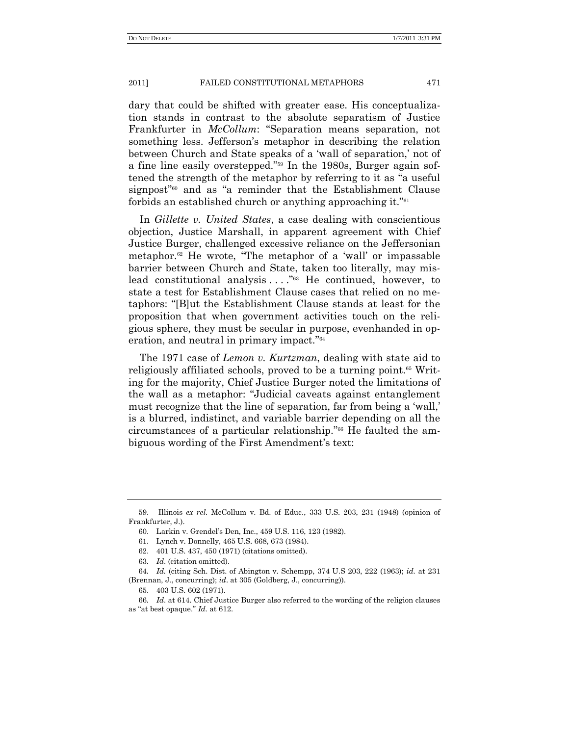dary that could be shifted with greater ease. His conceptualization stands in contrast to the absolute separatism of Justice Frankfurter in *McCollum*: "Separation means separation, not something less. Jefferson's metaphor in describing the relation between Church and State speaks of a 'wall of separation,' not of a fine line easily overstepped."<sup>59</sup> In the 1980s, Burger again softened the strength of the metaphor by referring to it as "a useful" signpost<sup>"60</sup> and as "a reminder that the Establishment Clause forbids an established church or anything approaching it."<sup>61</sup>

In *Gillette v. United States*, a case dealing with conscientious objection, Justice Marshall, in apparent agreement with Chief Justice Burger, challenged excessive reliance on the Jeffersonian metaphor. $62$  He wrote, "The metaphor of a 'wall' or impassable barrier between Church and State, taken too literally, may mislead constitutional analysis  $\ldots$ ."<sup>63</sup> He continued, however, to state a test for Establishment Clause cases that relied on no metaphors: ―[B]ut the Establishment Clause stands at least for the proposition that when government activities touch on the religious sphere, they must be secular in purpose, evenhanded in operation, and neutral in primary impact." $64$ 

The 1971 case of *Lemon v. Kurtzman*, dealing with state aid to religiously affiliated schools, proved to be a turning point.<sup>65</sup> Writing for the majority, Chief Justice Burger noted the limitations of the wall as a metaphor: "Judicial caveats against entanglement must recognize that the line of separation, far from being a 'wall,' is a blurred, indistinct, and variable barrier depending on all the circumstances of a particular relationship."<sup>66</sup> He faulted the ambiguous wording of the First Amendment's text:

<sup>59.</sup> Illinois *ex rel*. McCollum v. Bd. of Educ., 333 U.S. 203, 231 (1948) (opinion of Frankfurter, J.).

<sup>60.</sup> Larkin v. Grendel's Den, Inc., 459 U.S. 116, 123 (1982).

<sup>61.</sup> Lynch v. Donnelly, 465 U.S. 668, 673 (1984).

<sup>62.</sup> 401 U.S. 437, 450 (1971) (citations omitted).

<sup>63</sup>*. Id*. (citation omitted).

<sup>64</sup>*. Id.* (citing Sch. Dist. of Abington v. Schempp, 374 U.S 203, 222 (1963); *id.* at 231 (Brennan, J., concurring); *id*. at 305 (Goldberg, J., concurring)).

<sup>65.</sup> 403 U.S. 602 (1971).

<sup>66</sup>*. Id*. at 614. Chief Justice Burger also referred to the wording of the religion clauses as "at best opaque." *Id.* at 612.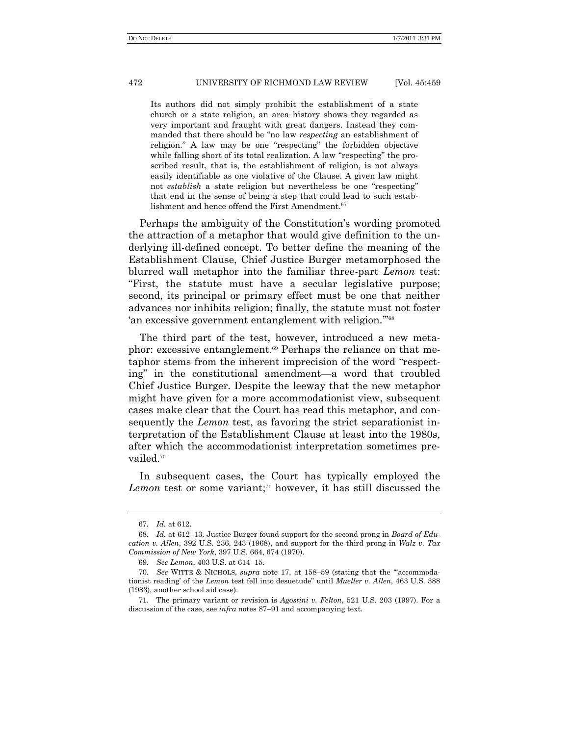Its authors did not simply prohibit the establishment of a state church or a state religion, an area history shows they regarded as very important and fraught with great dangers. Instead they commanded that there should be "no law *respecting* an establishment of religion." A law may be one "respecting" the forbidden objective while falling short of its total realization. A law "respecting" the proscribed result, that is, the establishment of religion, is not always easily identifiable as one violative of the Clause. A given law might not *establish* a state religion but nevertheless be one "respecting" that end in the sense of being a step that could lead to such establishment and hence offend the First Amendment.<sup>67</sup>

Perhaps the ambiguity of the Constitution's wording promoted the attraction of a metaphor that would give definition to the underlying ill-defined concept. To better define the meaning of the Establishment Clause, Chief Justice Burger metamorphosed the blurred wall metaphor into the familiar three-part *Lemon* test: ―First, the statute must have a secular legislative purpose; second, its principal or primary effect must be one that neither advances nor inhibits religion; finally, the statute must not foster 'an excessive government entanglement with religion."<sup>88</sup>

The third part of the test, however, introduced a new metaphor: excessive entanglement.<sup>69</sup> Perhaps the reliance on that metaphor stems from the inherent imprecision of the word "respecting" in the constitutional amendment—a word that troubled Chief Justice Burger. Despite the leeway that the new metaphor might have given for a more accommodationist view, subsequent cases make clear that the Court has read this metaphor, and consequently the *Lemon* test, as favoring the strict separationist interpretation of the Establishment Clause at least into the 1980s, after which the accommodationist interpretation sometimes prevailed.<sup>70</sup>

In subsequent cases, the Court has typically employed the Lemon test or some variant;<sup>71</sup> however, it has still discussed the

<sup>67</sup>*. Id.* at 612.

<sup>68</sup>*. Id.* at 612–13. Justice Burger found support for the second prong in *Board of Education v. Allen*, 392 U.S. 236, 243 (1968), and support for the third prong in *Walz v. Tax Commission of New York*, 397 U.S. 664, 674 (1970).

<sup>69</sup>*. See Lemon*, 403 U.S. at 614–15.

<sup>70.</sup> See WITTE & NICHOLS, *supra* note 17, at 158–59 (stating that the "accommodationist reading' of the *Lemon* test fell into desuetude‖ until *Mueller v. Allen*, 463 U.S. 388 (1983), another school aid case).

<sup>71.</sup> The primary variant or revision is *Agostini v. Felton*, 521 U.S. 203 (1997). For a discussion of the case, see *infra* notes 87–91 and accompanying text.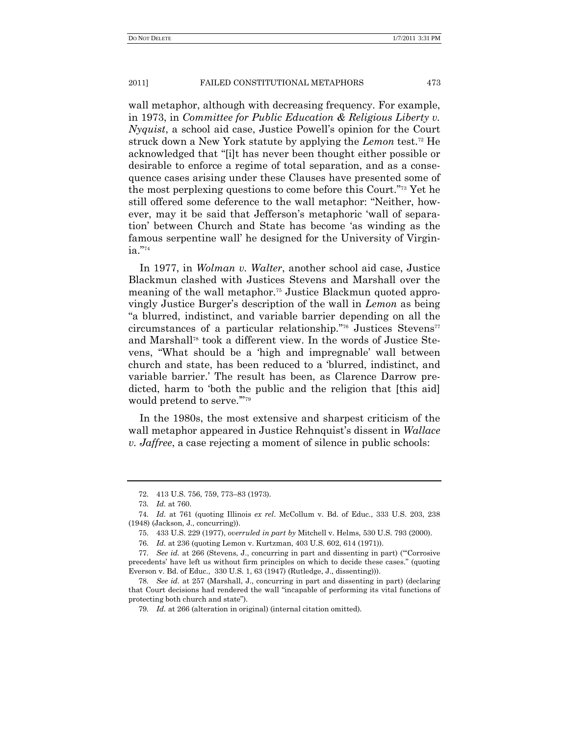wall metaphor, although with decreasing frequency. For example, in 1973, in *Committee for Public Education & Religious Liberty v. Nyquist*, a school aid case, Justice Powell's opinion for the Court struck down a New York statute by applying the *Lemon* test.<sup>72</sup> He acknowledged that "[i]t has never been thought either possible or desirable to enforce a regime of total separation, and as a consequence cases arising under these Clauses have presented some of the most perplexing questions to come before this Court."<sup>73</sup> Yet he still offered some deference to the wall metaphor: "Neither, however, may it be said that Jefferson's metaphoric 'wall of separation' between Church and State has become 'as winding as the famous serpentine wall' he designed for the University of Virginia."<sup>74</sup>

In 1977, in *Wolman v. Walter*, another school aid case, Justice Blackmun clashed with Justices Stevens and Marshall over the meaning of the wall metaphor.<sup>75</sup> Justice Blackmun quoted approvingly Justice Burger's description of the wall in *Lemon* as being ―a blurred, indistinct, and variable barrier depending on all the circumstances of a particular relationship."<sup>76</sup> Justices Stevens<sup>77</sup> and Marshall<sup>78</sup> took a different view. In the words of Justice Stevens, "What should be a 'high and impregnable' wall between church and state, has been reduced to a 'blurred, indistinct, and variable barrier.' The result has been, as Clarence Darrow predicted, harm to 'both the public and the religion that [this aid] would pretend to serve."<sup>79</sup>

In the 1980s, the most extensive and sharpest criticism of the wall metaphor appeared in Justice Rehnquist's dissent in *Wallace v. Jaffree*, a case rejecting a moment of silence in public schools:

<sup>72.</sup> 413 U.S. 756, 759, 773–83 (1973).

<sup>73</sup>*. Id.* at 760.

<sup>74</sup>*. Id.* at 761 (quoting Illinois *ex rel*. McCollum v. Bd. of Educ., 333 U.S. 203, 238 (1948) (Jackson, J., concurring)).

<sup>75.</sup> 433 U.S. 229 (1977), *overruled in part by* Mitchell v. Helms, 530 U.S. 793 (2000).

<sup>76</sup>*. Id.* at 236 (quoting Lemon v. Kurtzman, 403 U.S. 602, 614 (1971)).

<sup>77.</sup> See id. at 266 (Stevens, J., concurring in part and dissenting in part) ("Corrosive precedents' have left us without firm principles on which to decide these cases.‖ (quoting Everson v. Bd. of Educ., 330 U.S. 1, 63 (1947) (Rutledge, J., dissenting))).

<sup>78</sup>*. See id.* at 257 (Marshall, J., concurring in part and dissenting in part) (declaring that Court decisions had rendered the wall "incapable of performing its vital functions of protecting both church and state").

<sup>79</sup>*. Id.* at 266 (alteration in original) (internal citation omitted).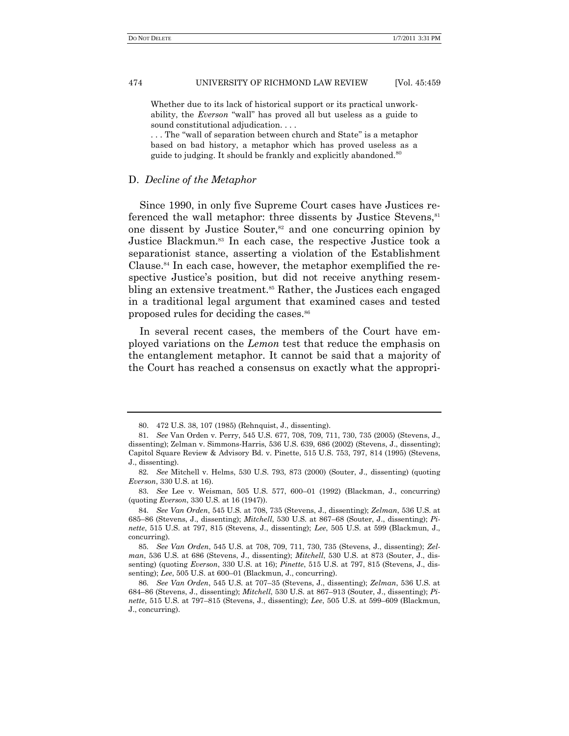Whether due to its lack of historical support or its practical unworkability, the *Everson* "wall" has proved all but useless as a guide to sound constitutional adjudication. . . .

... The "wall of separation between church and State" is a metaphor based on bad history, a metaphor which has proved useless as a guide to judging. It should be frankly and explicitly abandoned.<sup>80</sup>

# D. *Decline of the Metaphor*

Since 1990, in only five Supreme Court cases have Justices referenced the wall metaphor: three dissents by Justice Stevens,<sup>81</sup> one dissent by Justice Souter,<sup>82</sup> and one concurring opinion by Justice Blackmun.<sup>83</sup> In each case, the respective Justice took a separationist stance, asserting a violation of the Establishment Clause.<sup>84</sup> In each case, however, the metaphor exemplified the respective Justice's position, but did not receive anything resembling an extensive treatment.<sup>85</sup> Rather, the Justices each engaged in a traditional legal argument that examined cases and tested proposed rules for deciding the cases.<sup>86</sup>

In several recent cases, the members of the Court have employed variations on the *Lemon* test that reduce the emphasis on the entanglement metaphor. It cannot be said that a majority of the Court has reached a consensus on exactly what the appropri-

<sup>80.</sup> 472 U.S. 38, 107 (1985) (Rehnquist, J., dissenting).

<sup>81</sup>*. See* Van Orden v. Perry, 545 U.S. 677, 708, 709, 711, 730, 735 (2005) (Stevens, J., dissenting); Zelman v. Simmons-Harris, 536 U.S. 639, 686 (2002) (Stevens, J., dissenting); Capitol Square Review & Advisory Bd. v. Pinette, 515 U.S. 753, 797, 814 (1995) (Stevens, J., dissenting).

<sup>82</sup>*. See* Mitchell v. Helms, 530 U.S. 793, 873 (2000) (Souter, J., dissenting) (quoting *Everson*, 330 U.S. at 16).

<sup>83</sup>*. See* Lee v. Weisman, 505 U.S. 577, 600–01 (1992) (Blackman, J., concurring) (quoting *Everson*, 330 U.S. at 16 (1947)).

<sup>84</sup>*. See Van Orden*, 545 U.S. at 708, 735 (Stevens, J., dissenting); *Zelman*, 536 U.S. at 685–86 (Stevens, J., dissenting); *Mitchell*, 530 U.S. at 867–68 (Souter, J., dissenting); *Pinette*, 515 U.S. at 797, 815 (Stevens, J., dissenting); *Lee*, 505 U.S. at 599 (Blackmun, J., concurring).

<sup>85</sup>*. See Van Orden*, 545 U.S. at 708, 709, 711, 730, 735 (Stevens, J., dissenting); *Zelman*, 536 U.S. at 686 (Stevens, J., dissenting); *Mitchell*, 530 U.S. at 873 (Souter, J., dissenting) (quoting *Everson*, 330 U.S. at 16); *Pinette*, 515 U.S. at 797, 815 (Stevens, J., dissenting); *Lee*, 505 U.S. at 600–01 (Blackmun, J., concurring).

<sup>86</sup>*. See Van Orden*, 545 U.S. at 707–35 (Stevens, J., dissenting); *Zelman*, 536 U.S. at 684–86 (Stevens, J., dissenting); *Mitchell*, 530 U.S. at 867–913 (Souter, J., dissenting); *Pinette*, 515 U.S. at 797–815 (Stevens, J., dissenting); *Lee*, 505 U.S. at 599–609 (Blackmun, J., concurring).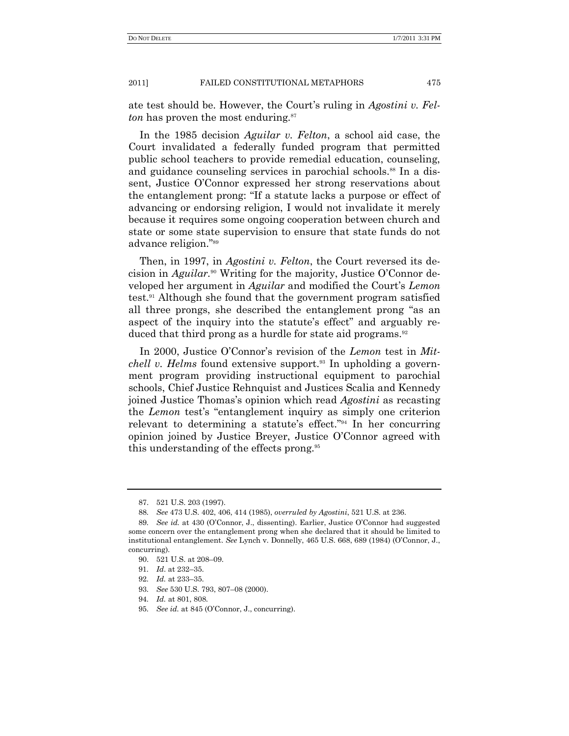ate test should be. However, the Court's ruling in *Agostini v. Felton* has proven the most enduring.<sup>87</sup>

In the 1985 decision *Aguilar v. Felton*, a school aid case, the Court invalidated a federally funded program that permitted public school teachers to provide remedial education, counseling, and guidance counseling services in parochial schools.<sup>88</sup> In a dissent, Justice O'Connor expressed her strong reservations about the entanglement prong: "If a statute lacks a purpose or effect of advancing or endorsing religion, I would not invalidate it merely because it requires some ongoing cooperation between church and state or some state supervision to ensure that state funds do not advance religion."89

Then, in 1997, in *Agostini v. Felton*, the Court reversed its decision in *Aguilar.*<sup>90</sup> Writing for the majority, Justice O'Connor developed her argument in *Aguilar* and modified the Court's *Lemon* test.<sup>91</sup> Although she found that the government program satisfied all three prongs, she described the entanglement prong "as an aspect of the inquiry into the statute's effect" and arguably reduced that third prong as a hurdle for state aid programs.<sup>92</sup>

In 2000, Justice O'Connor's revision of the *Lemon* test in *Mitchell v. Helms* found extensive support.<sup>93</sup> In upholding a government program providing instructional equipment to parochial schools, Chief Justice Rehnquist and Justices Scalia and Kennedy joined Justice Thomas's opinion which read *Agostini* as recasting the *Lemon* test's "entanglement inquiry as simply one criterion relevant to determining a statute's effect."<sup>94</sup> In her concurring opinion joined by Justice Breyer, Justice O'Connor agreed with this understanding of the effects prong.<sup>95</sup>

<sup>87.</sup> 521 U.S. 203 (1997).

<sup>88</sup>*. See* 473 U.S. 402, 406, 414 (1985), *overruled by Agostini*, 521 U.S. at 236.

<sup>89</sup>*. See id.* at 430 (O'Connor, J., dissenting). Earlier, Justice O'Connor had suggested some concern over the entanglement prong when she declared that it should be limited to institutional entanglement. *See* Lynch v. Donnelly, 465 U.S. 668, 689 (1984) (O'Connor, J., concurring).

<sup>90.</sup> 521 U.S. at 208–09.

<sup>91</sup>*. Id*. at 232–35.

<sup>92</sup>*. Id.* at 233–35.

<sup>93</sup>*. See* 530 U.S. 793, 807–08 (2000).

<sup>94</sup>*. Id.* at 801, 808.

<sup>95</sup>*. See id.* at 845 (O'Connor, J., concurring).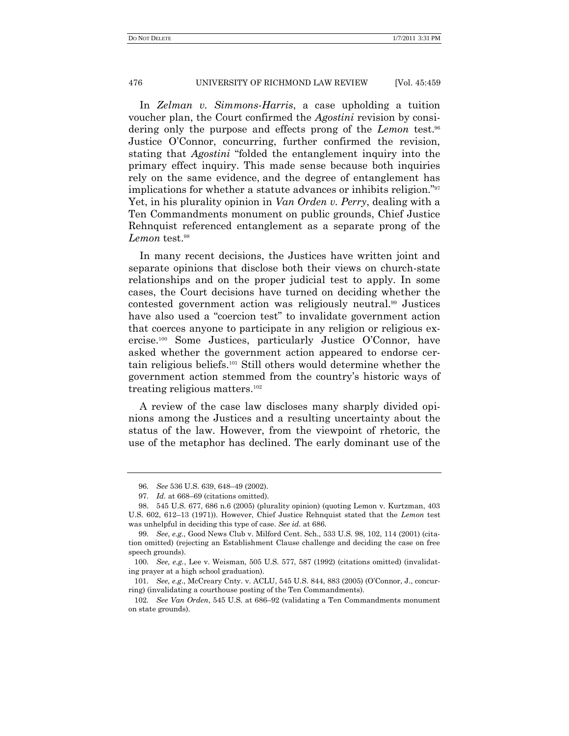In *Zelman v. Simmons-Harris*, a case upholding a tuition voucher plan, the Court confirmed the *Agostini* revision by considering only the purpose and effects prong of the *Lemon* test.<sup>96</sup> Justice O'Connor, concurring, further confirmed the revision, stating that *Agostini* "folded the entanglement inquiry into the primary effect inquiry. This made sense because both inquiries rely on the same evidence, and the degree of entanglement has implications for whether a statute advances or inhibits religion."<sup>97</sup> Yet, in his plurality opinion in *Van Orden v. Perry*, dealing with a Ten Commandments monument on public grounds, Chief Justice Rehnquist referenced entanglement as a separate prong of the *Lemon* test.<sup>98</sup>

In many recent decisions, the Justices have written joint and separate opinions that disclose both their views on church-state relationships and on the proper judicial test to apply. In some cases, the Court decisions have turned on deciding whether the contested government action was religiously neutral.<sup>99</sup> Justices have also used a "coercion test" to invalidate government action that coerces anyone to participate in any religion or religious exercise.<sup>100</sup> Some Justices, particularly Justice O'Connor, have asked whether the government action appeared to endorse certain religious beliefs.<sup>101</sup> Still others would determine whether the government action stemmed from the country's historic ways of treating religious matters. $102$ 

A review of the case law discloses many sharply divided opinions among the Justices and a resulting uncertainty about the status of the law. However, from the viewpoint of rhetoric, the use of the metaphor has declined. The early dominant use of the

<sup>96</sup>*. See* 536 U.S. 639, 648–49 (2002).

<sup>97</sup>*. Id.* at 668–69 (citations omitted).

<sup>98.</sup> 545 U.S. 677, 686 n.6 (2005) (plurality opinion) (quoting Lemon v. Kurtzman, 403 U.S. 602, 612–13 (1971)). However, Chief Justice Rehnquist stated that the *Lemon* test was unhelpful in deciding this type of case. *See id.* at 686.

<sup>99</sup>*. See*, *e.g.*, Good News Club v. Milford Cent. Sch., 533 U.S. 98, 102, 114 (2001) (citation omitted) (rejecting an Establishment Clause challenge and deciding the case on free speech grounds).

<sup>100</sup>*. See, e.g.*, Lee v. Weisman, 505 U.S. 577, 587 (1992) (citations omitted) (invalidating prayer at a high school graduation).

<sup>101</sup>*. See, e.g*., McCreary Cnty. v. ACLU, 545 U.S. 844, 883 (2005) (O'Connor, J., concurring) (invalidating a courthouse posting of the Ten Commandments).

<sup>102</sup>*. See Van Orden*, 545 U.S. at 686–92 (validating a Ten Commandments monument on state grounds).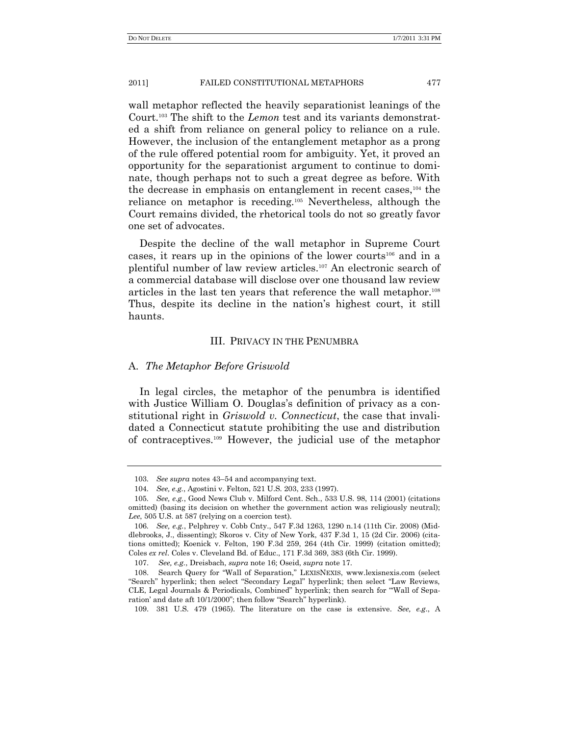wall metaphor reflected the heavily separationist leanings of the Court.<sup>103</sup> The shift to the *Lemon* test and its variants demonstrated a shift from reliance on general policy to reliance on a rule. However, the inclusion of the entanglement metaphor as a prong of the rule offered potential room for ambiguity. Yet, it proved an opportunity for the separationist argument to continue to dominate, though perhaps not to such a great degree as before. With the decrease in emphasis on entanglement in recent cases,<sup>104</sup> the reliance on metaphor is receding.<sup>105</sup> Nevertheless, although the Court remains divided, the rhetorical tools do not so greatly favor one set of advocates.

Despite the decline of the wall metaphor in Supreme Court cases, it rears up in the opinions of the lower courts<sup>106</sup> and in a plentiful number of law review articles.<sup>107</sup> An electronic search of a commercial database will disclose over one thousand law review articles in the last ten years that reference the wall metaphor.<sup>108</sup> Thus, despite its decline in the nation's highest court, it still haunts.

# III. PRIVACY IN THE PENUMBRA

# A. *The Metaphor Before Griswold*

In legal circles, the metaphor of the penumbra is identified with Justice William O. Douglas's definition of privacy as a constitutional right in *Griswold v. Connecticut*, the case that invalidated a Connecticut statute prohibiting the use and distribution of contraceptives.<sup>109</sup> However, the judicial use of the metaphor

<sup>103</sup>*. See supra* notes 43–54 and accompanying text.

<sup>104</sup>*. See, e.g.*, Agostini v. Felton, 521 U.S. 203, 233 (1997).

<sup>105</sup>*. See, e.g.*, Good News Club v. Milford Cent. Sch., 533 U.S. 98, 114 (2001) (citations omitted) (basing its decision on whether the government action was religiously neutral); *Lee*, 505 U.S. at 587 (relying on a coercion test).

<sup>106</sup>*. See, e.g.*, Pelphrey v. Cobb Cnty., 547 F.3d 1263, 1290 n.14 (11th Cir. 2008) (Middlebrooks, J., dissenting); Skoros v. City of New York, 437 F.3d 1, 15 (2d Cir. 2006) (citations omitted); Koenick v. Felton, 190 F.3d 259, 264 (4th Cir. 1999) (citation omitted); Coles *ex rel*. Coles v. Cleveland Bd. of Educ., 171 F.3d 369, 383 (6th Cir. 1999).

<sup>107.</sup> *See, e.g.*, Dreisbach, *supra* note 16; Oseid, *supra* note 17.

<sup>108.</sup> Search Query for "Wall of Separation," LEXISNEXIS, www.lexisnexis.com (select ―Search‖ hyperlink; then select ―Secondary Legal‖ hyperlink; then select ―Law Reviews, CLE, Legal Journals & Periodicals, Combined" hyperlink; then search for "Wall of Separation' and date aft 10/1/2000"; then follow "Search" hyperlink).

<sup>109.</sup> 381 U.S. 479 (1965). The literature on the case is extensive. *See, e.g*., A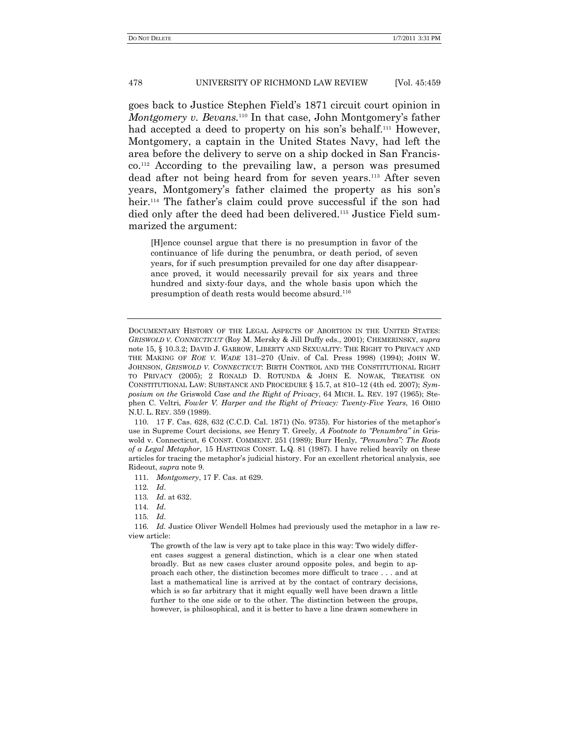goes back to Justice Stephen Field's 1871 circuit court opinion in *Montgomery v. Bevans.*<sup>110</sup> In that case, John Montgomery's father had accepted a deed to property on his son's behalf.<sup>111</sup> However, Montgomery, a captain in the United States Navy, had left the area before the delivery to serve on a ship docked in San Francisco. <sup>112</sup> According to the prevailing law, a person was presumed dead after not being heard from for seven years.<sup>113</sup> After seven years, Montgomery's father claimed the property as his son's heir.<sup>114</sup> The father's claim could prove successful if the son had died only after the deed had been delivered.<sup>115</sup> Justice Field summarized the argument:

[H]ence counsel argue that there is no presumption in favor of the continuance of life during the penumbra, or death period, of seven years, for if such presumption prevailed for one day after disappearance proved, it would necessarily prevail for six years and three hundred and sixty-four days, and the whole basis upon which the presumption of death rests would become absurd.<sup>116</sup>

110. 17 F. Cas. 628, 632 (C.C.D. Cal. 1871) (No. 9735). For histories of the metaphor's use in Supreme Court decisions, see Henry T. Greely, *A Footnote to "Penumbra" in* Griswold v. Connecticut, 6 CONST. COMMENT. 251 (1989); Burr Henly, *"Penumbra": The Roots of a Legal Metaphor*, 15 HASTINGS CONST. L.Q. 81 (1987). I have relied heavily on these articles for tracing the metaphor's judicial history. For an excellent rhetorical analysis, see Rideout, *supra* note 9.

111*. Montgomery*, 17 F. Cas. at 629.

112*. Id*.

114*. Id*.

115*. Id*.

116*. Id.* Justice Oliver Wendell Holmes had previously used the metaphor in a law review article:

The growth of the law is very apt to take place in this way: Two widely different cases suggest a general distinction, which is a clear one when stated broadly. But as new cases cluster around opposite poles, and begin to approach each other, the distinction becomes more difficult to trace . . . and at last a mathematical line is arrived at by the contact of contrary decisions, which is so far arbitrary that it might equally well have been drawn a little further to the one side or to the other. The distinction between the groups, however, is philosophical, and it is better to have a line drawn somewhere in

DOCUMENTARY HISTORY OF THE LEGAL ASPECTS OF ABORTION IN THE UNITED STATES: *GRISWOLD V. CONNECTICUT* (Roy M. Mersky & Jill Duffy eds., 2001); CHEMERINSKY, *supra* note 15, § 10.3.2; DAVID J. GARROW, LIBERTY AND SEXUALITY: THE RIGHT TO PRIVACY AND THE MAKING OF *ROE V. WADE* 131–270 (Univ. of Cal. Press 1998) (1994); JOHN W. JOHNSON, *GRISWOLD V. CONNECTICUT*: BIRTH CONTROL AND THE CONSTITUTIONAL RIGHT TO PRIVACY (2005); 2 RONALD D. ROTUNDA & JOHN E. NOWAK, TREATISE ON CONSTITUTIONAL LAW: SUBSTANCE AND PROCEDURE § 15.7, at 810–12 (4th ed. 2007); *Symposium on the* Griswold *Case and the Right of Privacy*, 64 MICH. L. REV. 197 (1965); Stephen C. Veltri, *Fowler V. Harper and the Right of Privacy: Twenty-Five Years*, 16 OHIO N.U. L. REV. 359 (1989).

<sup>113</sup>*. Id*. at 632.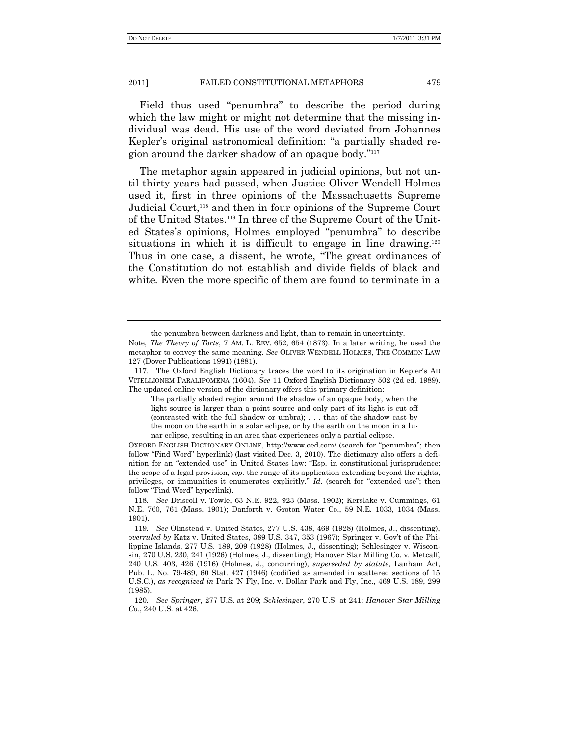Field thus used "penumbra" to describe the period during which the law might or might not determine that the missing individual was dead. His use of the word deviated from Johannes Kepler's original astronomical definition: "a partially shaded region around the darker shadow of an opaque body."<sup>117</sup>

The metaphor again appeared in judicial opinions, but not until thirty years had passed, when Justice Oliver Wendell Holmes used it, first in three opinions of the Massachusetts Supreme Judicial Court,<sup>118</sup> and then in four opinions of the Supreme Court of the United States. <sup>119</sup> In three of the Supreme Court of the United States's opinions, Holmes employed "penumbra" to describe situations in which it is difficult to engage in line drawing.<sup>120</sup> Thus in one case, a dissent, he wrote, "The great ordinances of the Constitution do not establish and divide fields of black and white. Even the more specific of them are found to terminate in a

the penumbra between darkness and light, than to remain in uncertainty.

Note, *The Theory of Torts*, 7 AM. L. REV. 652, 654 (1873). In a later writing, he used the metaphor to convey the same meaning. *See* OLIVER WENDELL HOLMES, THE COMMON LAW 127 (Dover Publications 1991) (1881).

<sup>117.</sup> The Oxford English Dictionary traces the word to its origination in Kepler's AD VITELLIONEM PARALIPOMENA (1604). *See* 11 Oxford English Dictionary 502 (2d ed. 1989). The updated online version of the dictionary offers this primary definition:

The partially shaded region around the shadow of an opaque body, when the light source is larger than a point source and only part of its light is cut off (contrasted with the full shadow or umbra); . . . that of the shadow cast by the moon on the earth in a solar eclipse, or by the earth on the moon in a lunar eclipse, resulting in an area that experiences only a partial eclipse.

OXFORD ENGLISH DICTIONARY ONLINE, http://www.oed.com/ (search for "penumbra"; then follow "Find Word" hyperlink) (last visited Dec. 3, 2010). The dictionary also offers a definition for an "extended use" in United States law: "Esp. in constitutional jurisprudence: the scope of a legal provision, *esp.* the range of its application extending beyond the rights, privileges, or immunities it enumerates explicitly." *Id.* (search for "extended use"; then follow "Find Word" hyperlink).

<sup>118</sup>*. See* Driscoll v. Towle, 63 N.E. 922, 923 (Mass. 1902); Kerslake v. Cummings, 61 N.E. 760, 761 (Mass. 1901); Danforth v. Groton Water Co., 59 N.E. 1033, 1034 (Mass. 1901).

<sup>119</sup>*. See* Olmstead v. United States, 277 U.S. 438, 469 (1928) (Holmes, J., dissenting), *overruled by* Katz v. United States, 389 U.S. 347, 353 (1967); Springer v. Gov't of the Philippine Islands, 277 U.S. 189, 209 (1928) (Holmes, J., dissenting); Schlesinger v. Wisconsin, 270 U.S. 230, 241 (1926) (Holmes, J., dissenting); Hanover Star Milling Co. v. Metcalf, 240 U.S. 403, 426 (1916) (Holmes, J., concurring), *superseded by statute*, Lanham Act, Pub. L. No. 79-489, 60 Stat. 427 (1946) (codified as amended in scattered sections of 15 U.S.C.), *as recognized in* Park 'N Fly, Inc. v. Dollar Park and Fly, Inc., 469 U.S. 189, 299 (1985).

<sup>120</sup>*. See Springer*, 277 U.S. at 209; *Schlesinger*, 270 U.S. at 241; *Hanover Star Milling Co.*, 240 U.S. at 426.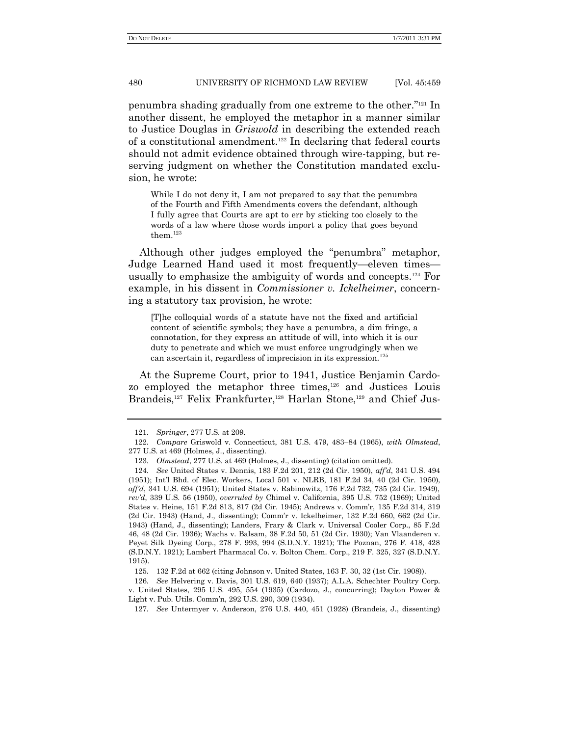penumbra shading gradually from one extreme to the other."<sup>121</sup> In another dissent, he employed the metaphor in a manner similar to Justice Douglas in *Griswold* in describing the extended reach of a constitutional amendment. <sup>122</sup> In declaring that federal courts should not admit evidence obtained through wire-tapping, but reserving judgment on whether the Constitution mandated exclusion, he wrote:

While I do not deny it, I am not prepared to say that the penumbra of the Fourth and Fifth Amendments covers the defendant, although I fully agree that Courts are apt to err by sticking too closely to the words of a law where those words import a policy that goes beyond them.<sup>123</sup>

Although other judges employed the "penumbra" metaphor, Judge Learned Hand used it most frequently—eleven times usually to emphasize the ambiguity of words and concepts.<sup>124</sup> For example, in his dissent in *Commissioner v. Ickelheimer*, concerning a statutory tax provision, he wrote:

[T]he colloquial words of a statute have not the fixed and artificial content of scientific symbols; they have a penumbra, a dim fringe, a connotation, for they express an attitude of will, into which it is our duty to penetrate and which we must enforce ungrudgingly when we can ascertain it, regardless of imprecision in its expression.<sup>125</sup>

At the Supreme Court, prior to 1941, Justice Benjamin Cardozo employed the metaphor three times,<sup>126</sup> and Justices Louis Brandeis,<sup>127</sup> Felix Frankfurter,<sup>128</sup> Harlan Stone,<sup>129</sup> and Chief Jus-

126*. See* Helvering v. Davis, 301 U.S. 619, 640 (1937); A.L.A. Schechter Poultry Corp. v. United States, 295 U.S. 495, 554 (1935) (Cardozo, J., concurring); Dayton Power & Light v. Pub. Utils. Comm'n, 292 U.S. 290, 309 (1934).

<sup>121</sup>*. Springer*, 277 U.S. at 209.

<sup>122</sup>*. Compare* Griswold v. Connecticut, 381 U.S. 479, 483–84 (1965), *with Olmstead*, 277 U.S. at 469 (Holmes, J., dissenting).

<sup>123</sup>*. Olmstead*, 277 U.S. at 469 (Holmes, J., dissenting) (citation omitted).

<sup>124</sup>*. See* United States v. Dennis, 183 F.2d 201, 212 (2d Cir. 1950), *aff"d*, 341 U.S. 494 (1951); Int'l Bhd. of Elec. Workers, Local 501 v. NLRB, 181 F.2d 34, 40 (2d Cir. 1950), *aff"d*, 341 U.S. 694 (1951); United States v. Rabinowitz, 176 F.2d 732, 735 (2d Cir. 1949), *rev"d*, 339 U.S. 56 (1950), *overruled by* Chimel v. California, 395 U.S. 752 (1969); United States v. Heine, 151 F.2d 813, 817 (2d Cir. 1945); Andrews v. Comm'r, 135 F.2d 314, 319 (2d Cir. 1943) (Hand, J., dissenting); Comm'r v. Ickelheimer, 132 F.2d 660, 662 (2d Cir. 1943) (Hand, J., dissenting); Landers, Frary & Clark v. Universal Cooler Corp., 85 F.2d 46, 48 (2d Cir. 1936); Wachs v. Balsam, 38 F.2d 50, 51 (2d Cir. 1930); Van Vlaanderen v. Peyet Silk Dyeing Corp., 278 F. 993, 994 (S.D.N.Y. 1921); The Poznan, 276 F. 418, 428 (S.D.N.Y. 1921); Lambert Pharmacal Co. v. Bolton Chem. Corp., 219 F. 325, 327 (S.D.N.Y. 1915).

<sup>125</sup>*.* 132 F.2d at 662 (citing Johnson v. United States, 163 F. 30, 32 (1st Cir. 1908)).

<sup>127</sup>*. See* Untermyer v. Anderson, 276 U.S. 440, 451 (1928) (Brandeis, J., dissenting)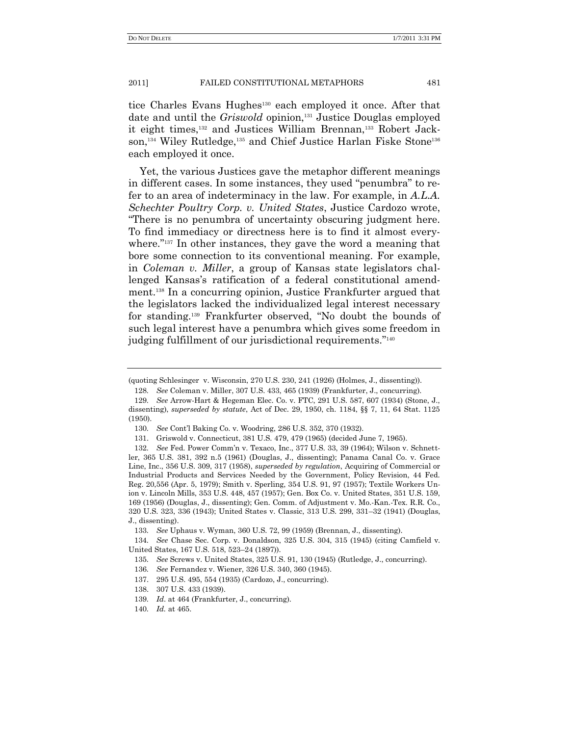tice Charles Evans Hughes<sup>130</sup> each employed it once. After that date and until the *Griswold* opinion,<sup>131</sup> Justice Douglas employed it eight times,<sup>132</sup> and Justices William Brennan,<sup>133</sup> Robert Jackson,<sup>134</sup> Wiley Rutledge,<sup>135</sup> and Chief Justice Harlan Fiske Stone<sup>136</sup> each employed it once.

Yet, the various Justices gave the metaphor different meanings in different cases. In some instances, they used "penumbra" to refer to an area of indeterminacy in the law. For example, in *A.L.A. Schechter Poultry Corp. v. United States*, Justice Cardozo wrote, ―There is no penumbra of uncertainty obscuring judgment here. To find immediacy or directness here is to find it almost everywhere."<sup>137</sup> In other instances, they gave the word a meaning that bore some connection to its conventional meaning. For example, in *Coleman v. Miller*, a group of Kansas state legislators challenged Kansas's ratification of a federal constitutional amendment.<sup>138</sup> In a concurring opinion, Justice Frankfurter argued that the legislators lacked the individualized legal interest necessary for standing.<sup>139</sup> Frankfurter observed, "No doubt the bounds of such legal interest have a penumbra which gives some freedom in judging fulfillment of our jurisdictional requirements."<sup>140</sup>

<sup>(</sup>quoting Schlesinger v. Wisconsin, 270 U.S. 230, 241 (1926) (Holmes, J., dissenting)).

<sup>128</sup>*. See* Coleman v. Miller, 307 U.S. 433, 465 (1939) (Frankfurter, J., concurring).

<sup>129</sup>*. See* Arrow-Hart & Hegeman Elec. Co. v. FTC, 291 U.S. 587, 607 (1934) (Stone, J., dissenting), *superseded by statute*, Act of Dec. 29, 1950, ch. 1184, §§ 7, 11, 64 Stat. 1125 (1950).

<sup>130</sup>*. See* Cont'l Baking Co. v. Woodring, 286 U.S. 352, 370 (1932).

<sup>131.</sup> Griswold v. Connecticut, 381 U.S. 479, 479 (1965) (decided June 7, 1965).

<sup>132</sup>*. See* Fed. Power Comm'n v. Texaco, Inc., 377 U.S. 33, 39 (1964); Wilson v. Schnettler, 365 U.S. 381, 392 n.5 (1961) (Douglas, J., dissenting); Panama Canal Co. v. Grace Line, Inc., 356 U.S. 309, 317 (1958), *superseded by regulation*, Acquiring of Commercial or Industrial Products and Services Needed by the Government, Policy Revision, 44 Fed. Reg. 20,556 (Apr. 5, 1979); Smith v. Sperling, 354 U.S. 91, 97 (1957); Textile Workers Union v. Lincoln Mills, 353 U.S. 448, 457 (1957); Gen. Box Co. v. United States, 351 U.S. 159, 169 (1956) (Douglas, J., dissenting); Gen. Comm. of Adjustment v. Mo.-Kan.-Tex. R.R. Co., 320 U.S. 323, 336 (1943); United States v. Classic, 313 U.S. 299, 331–32 (1941) (Douglas, J., dissenting).

<sup>133</sup>*. See* Uphaus v. Wyman, 360 U.S. 72, 99 (1959) (Brennan, J., dissenting).

<sup>134</sup>*. See* Chase Sec. Corp. v. Donaldson, 325 U.S. 304, 315 (1945) (citing Camfield v. United States, 167 U.S. 518, 523–24 (1897)).

<sup>135</sup>*. See* Screws v. United States, 325 U.S. 91, 130 (1945) (Rutledge, J., concurring).

<sup>136</sup>*. See* Fernandez v. Wiener, 326 U.S. 340, 360 (1945).

<sup>137.</sup> 295 U.S. 495, 554 (1935) (Cardozo, J., concurring).

<sup>138.</sup> 307 U.S. 433 (1939).

<sup>139</sup>*. Id*. at 464 (Frankfurter, J., concurring).

<sup>140</sup>*. Id.* at 465.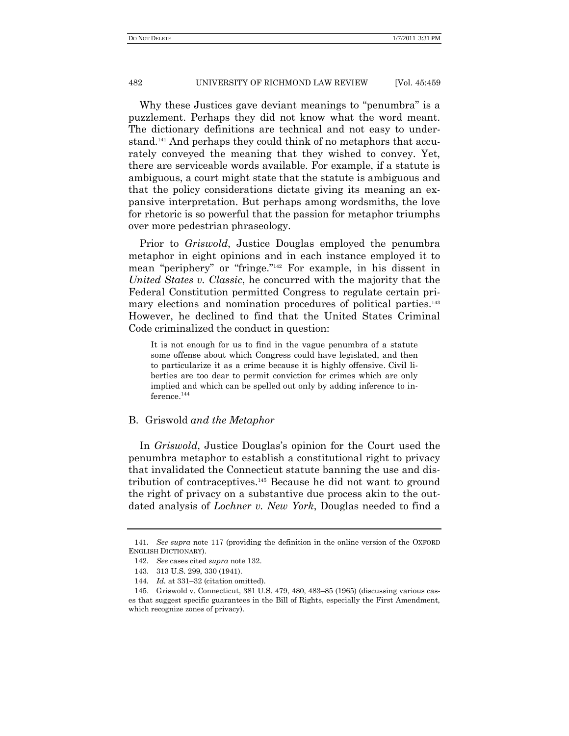Why these Justices gave deviant meanings to "penumbra" is a puzzlement. Perhaps they did not know what the word meant. The dictionary definitions are technical and not easy to understand.<sup>141</sup> And perhaps they could think of no metaphors that accurately conveyed the meaning that they wished to convey. Yet, there are serviceable words available. For example, if a statute is ambiguous, a court might state that the statute is ambiguous and that the policy considerations dictate giving its meaning an expansive interpretation. But perhaps among wordsmiths, the love for rhetoric is so powerful that the passion for metaphor triumphs over more pedestrian phraseology.

Prior to *Griswold*, Justice Douglas employed the penumbra metaphor in eight opinions and in each instance employed it to mean "periphery" or "fringe."<sup>142</sup> For example, in his dissent in *United States v. Classic*, he concurred with the majority that the Federal Constitution permitted Congress to regulate certain primary elections and nomination procedures of political parties.<sup>143</sup> However, he declined to find that the United States Criminal Code criminalized the conduct in question:

It is not enough for us to find in the vague penumbra of a statute some offense about which Congress could have legislated, and then to particularize it as a crime because it is highly offensive. Civil liberties are too dear to permit conviction for crimes which are only implied and which can be spelled out only by adding inference to inference. $^{\rm 144}$ 

# B. Griswold *and the Metaphor*

In *Griswold*, Justice Douglas's opinion for the Court used the penumbra metaphor to establish a constitutional right to privacy that invalidated the Connecticut statute banning the use and distribution of contraceptives.<sup>145</sup> Because he did not want to ground the right of privacy on a substantive due process akin to the outdated analysis of *Lochner v. New York*, Douglas needed to find a

<sup>141</sup>*. See supra* note 117 (providing the definition in the online version of the OXFORD ENGLISH DICTIONARY).

<sup>142</sup>*. See* cases cited *supra* note 132.

<sup>143.</sup> 313 U.S. 299, 330 (1941).

<sup>144</sup>*. Id.* at 331–32 (citation omitted).

<sup>145.</sup> Griswold v. Connecticut, 381 U.S. 479, 480, 483–85 (1965) (discussing various cases that suggest specific guarantees in the Bill of Rights, especially the First Amendment, which recognize zones of privacy).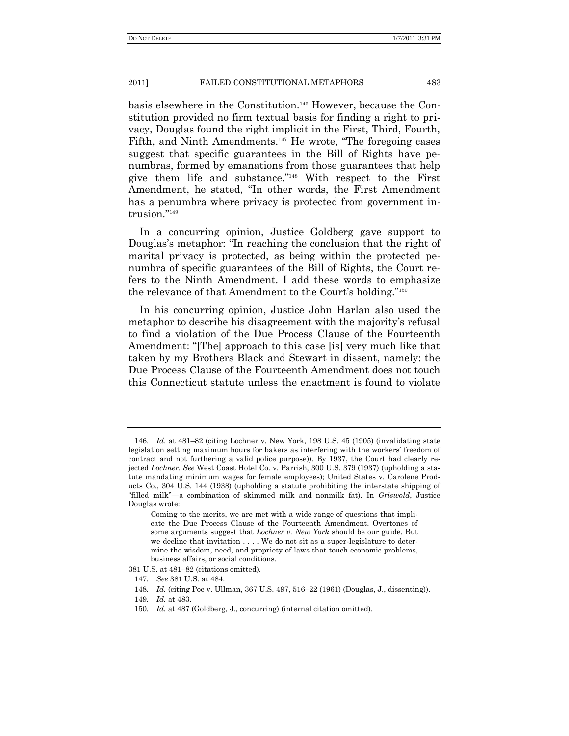basis elsewhere in the Constitution.<sup>146</sup> However, because the Constitution provided no firm textual basis for finding a right to privacy, Douglas found the right implicit in the First, Third, Fourth, Fifth, and Ninth Amendments.<sup>147</sup> He wrote, "The foregoing cases" suggest that specific guarantees in the Bill of Rights have penumbras, formed by emanations from those guarantees that help give them life and substance."<sup>148</sup> With respect to the First Amendment, he stated, "In other words, the First Amendment has a penumbra where privacy is protected from government intrusion."<sup>149</sup>

In a concurring opinion, Justice Goldberg gave support to Douglas's metaphor: "In reaching the conclusion that the right of marital privacy is protected, as being within the protected penumbra of specific guarantees of the Bill of Rights, the Court refers to the Ninth Amendment. I add these words to emphasize the relevance of that Amendment to the Court's holding."<sup>150</sup>

In his concurring opinion, Justice John Harlan also used the metaphor to describe his disagreement with the majority's refusal to find a violation of the Due Process Clause of the Fourteenth Amendment: "[The] approach to this case [is] very much like that taken by my Brothers Black and Stewart in dissent, namely: the Due Process Clause of the Fourteenth Amendment does not touch this Connecticut statute unless the enactment is found to violate

<sup>146.</sup> *Id*. at 481–82 (citing Lochner v. New York, 198 U.S. 45 (1905) (invalidating state legislation setting maximum hours for bakers as interfering with the workers' freedom of contract and not furthering a valid police purpose)). By 1937, the Court had clearly rejected *Lochner*. *See* West Coast Hotel Co. v. Parrish, 300 U.S. 379 (1937) (upholding a statute mandating minimum wages for female employees); United States v. Carolene Products Co., 304 U.S. 144 (1938) (upholding a statute prohibiting the interstate shipping of ―filled milk‖—a combination of skimmed milk and nonmilk fat). In *Griswold*, Justice Douglas wrote:

Coming to the merits, we are met with a wide range of questions that implicate the Due Process Clause of the Fourteenth Amendment. Overtones of some arguments suggest that *Lochner v. New York* should be our guide. But we decline that invitation . . . . We do not sit as a super-legislature to determine the wisdom, need, and propriety of laws that touch economic problems, business affairs, or social conditions.

<sup>381</sup> U.S. at 481–82 (citations omitted).

<sup>147</sup>*. See* 381 U.S. at 484.

<sup>148</sup>*. Id.* (citing Poe v. Ullman, 367 U.S. 497, 516–22 (1961) (Douglas, J., dissenting)).

<sup>149</sup>*. Id.* at 483.

<sup>150</sup>*. Id.* at 487 (Goldberg, J., concurring) (internal citation omitted).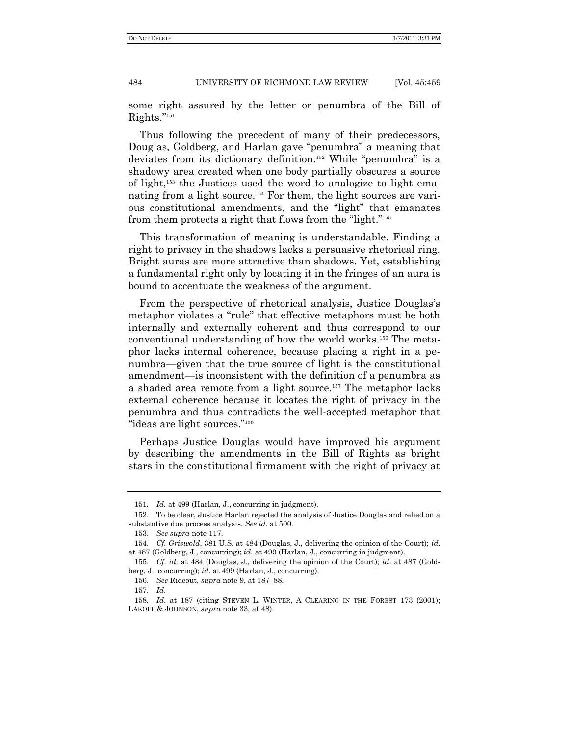some right assured by the letter or penumbra of the Bill of Rights."151

Thus following the precedent of many of their predecessors, Douglas, Goldberg, and Harlan gave "penumbra" a meaning that deviates from its dictionary definition.<sup>152</sup> While "penumbra" is a shadowy area created when one body partially obscures a source of light,<sup>153</sup> the Justices used the word to analogize to light emanating from a light source.<sup>154</sup> For them, the light sources are various constitutional amendments, and the "light" that emanates from them protects a right that flows from the "light."<sup>155</sup>

This transformation of meaning is understandable. Finding a right to privacy in the shadows lacks a persuasive rhetorical ring. Bright auras are more attractive than shadows. Yet, establishing a fundamental right only by locating it in the fringes of an aura is bound to accentuate the weakness of the argument.

From the perspective of rhetorical analysis, Justice Douglas's metaphor violates a "rule" that effective metaphors must be both internally and externally coherent and thus correspond to our conventional understanding of how the world works.<sup>156</sup> The metaphor lacks internal coherence, because placing a right in a penumbra—given that the true source of light is the constitutional amendment—is inconsistent with the definition of a penumbra as a shaded area remote from a light source.<sup>157</sup> The metaphor lacks external coherence because it locates the right of privacy in the penumbra and thus contradicts the well-accepted metaphor that "ideas are light sources."<sup>158</sup>

Perhaps Justice Douglas would have improved his argument by describing the amendments in the Bill of Rights as bright stars in the constitutional firmament with the right of privacy at

<sup>151</sup>*. Id.* at 499 (Harlan, J., concurring in judgment).

<sup>152.</sup> To be clear, Justice Harlan rejected the analysis of Justice Douglas and relied on a substantive due process analysis. *See id.* at 500.

<sup>153.</sup> *See supra* note 117.

<sup>154.</sup> *Cf. Griswold*, 381 U.S. at 484 (Douglas, J., delivering the opinion of the Court); *id*. at 487 (Goldberg, J., concurring); *id*. at 499 (Harlan, J., concurring in judgment).

<sup>155.</sup> *Cf*. *id*. at 484 (Douglas, J., delivering the opinion of the Court); *id*. at 487 (Goldberg, J., concurring); *id*. at 499 (Harlan, J., concurring).

<sup>156.</sup> *See* Rideout, *supra* note 9, at 187–88.

<sup>157.</sup> *Id*.

<sup>158</sup>*. Id*. at 187 (citing STEVEN L. WINTER, A CLEARING IN THE FOREST 173 (2001); LAKOFF & JOHNSON, *supra* note 33, at 48).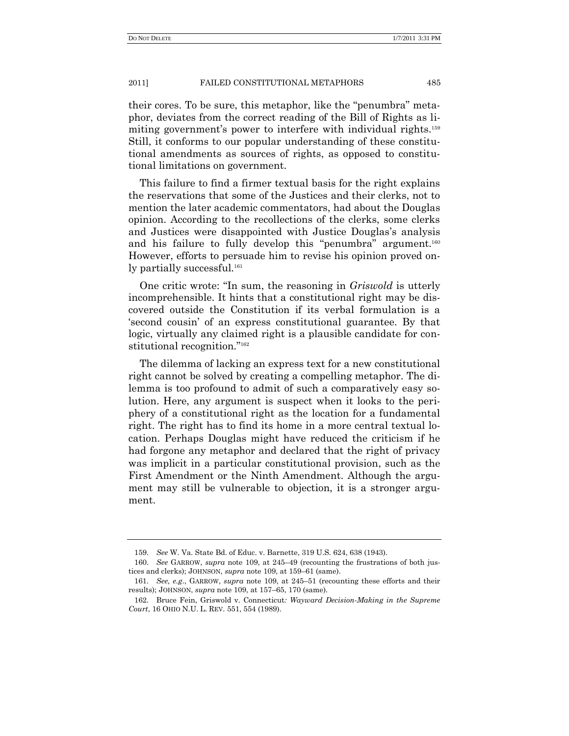their cores. To be sure, this metaphor, like the "penumbra" metaphor, deviates from the correct reading of the Bill of Rights as limiting government's power to interfere with individual rights.<sup>159</sup> Still, it conforms to our popular understanding of these constitutional amendments as sources of rights, as opposed to constitutional limitations on government.

This failure to find a firmer textual basis for the right explains the reservations that some of the Justices and their clerks, not to mention the later academic commentators, had about the Douglas opinion. According to the recollections of the clerks, some clerks and Justices were disappointed with Justice Douglas's analysis and his failure to fully develop this "penumbra" argument.<sup>160</sup> However, efforts to persuade him to revise his opinion proved only partially successful.<sup>161</sup>

One critic wrote: "In sum, the reasoning in *Griswold* is utterly incomprehensible. It hints that a constitutional right may be discovered outside the Constitution if its verbal formulation is a ‗second cousin' of an express constitutional guarantee. By that logic, virtually any claimed right is a plausible candidate for constitutional recognition."<sup>162</sup>

The dilemma of lacking an express text for a new constitutional right cannot be solved by creating a compelling metaphor. The dilemma is too profound to admit of such a comparatively easy solution. Here, any argument is suspect when it looks to the periphery of a constitutional right as the location for a fundamental right. The right has to find its home in a more central textual location. Perhaps Douglas might have reduced the criticism if he had forgone any metaphor and declared that the right of privacy was implicit in a particular constitutional provision, such as the First Amendment or the Ninth Amendment. Although the argument may still be vulnerable to objection, it is a stronger argument.

<sup>159.</sup> *See* W. Va. State Bd. of Educ. v. Barnette, 319 U.S. 624, 638 (1943).

<sup>160.</sup> *See* GARROW, *supra* note 109, at 245–49 (recounting the frustrations of both justices and clerks); JOHNSON, *supra* note 109, at 159–61 (same).

<sup>161</sup>*. See, e.g*., GARROW, *supra* note 109, at 245–51 (recounting these efforts and their results); JOHNSON, *supra* note 109, at 157–65, 170 (same).

<sup>162.</sup> Bruce Fein, Griswold v. Connecticut*: Wayward Decision-Making in the Supreme Court*, 16 OHIO N.U. L. REV. 551, 554 (1989).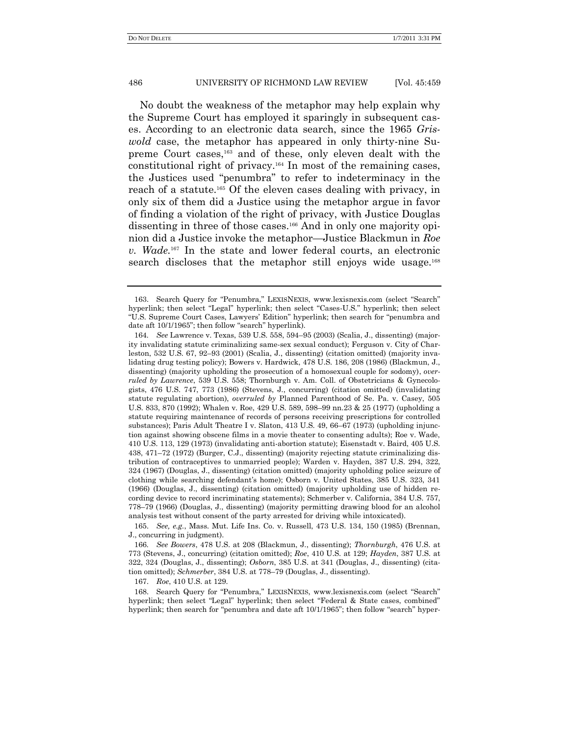No doubt the weakness of the metaphor may help explain why the Supreme Court has employed it sparingly in subsequent cases. According to an electronic data search, since the 1965 *Griswold* case, the metaphor has appeared in only thirty-nine Supreme Court cases,<sup>163</sup> and of these, only eleven dealt with the constitutional right of privacy. <sup>164</sup> In most of the remaining cases, the Justices used "penumbra" to refer to indeterminacy in the reach of a statute.<sup>165</sup> Of the eleven cases dealing with privacy, in only six of them did a Justice using the metaphor argue in favor of finding a violation of the right of privacy, with Justice Douglas dissenting in three of those cases.<sup>166</sup> And in only one majority opinion did a Justice invoke the metaphor—Justice Blackmun in *Roe v. Wade.*<sup>167</sup> In the state and lower federal courts, an electronic search discloses that the metaphor still enjoys wide usage.<sup>168</sup>

165. *See, e.g.*, Mass. Mut. Life Ins. Co. v. Russell, 473 U.S. 134, 150 (1985) (Brennan, J., concurring in judgment).

167. *Roe*, 410 U.S. at 129.

168. Search Query for "Penumbra," LEXISNEXIS, www.lexisnexis.com (select "Search" hyperlink; then select "Legal" hyperlink; then select "Federal & State cases, combined" hyperlink; then search for "penumbra and date aft  $10/1/1965$ "; then follow "search" hyper-

Search Query for "Penumbra," LEXISNEXIS, www.lexisnexis.com (select "Search" hyperlink; then select "Legal" hyperlink; then select "Cases-U.S." hyperlink; then select ―U.S. Supreme Court Cases, Lawyers' Edition‖ hyperlink; then search for ―penumbra and date aft 10/1/1965"; then follow "search" hyperlink).

<sup>164</sup>*. See* Lawrence v. Texas, 539 U.S. 558, 594–95 (2003) (Scalia, J., dissenting) (majority invalidating statute criminalizing same-sex sexual conduct); Ferguson v. City of Charleston, 532 U.S. 67, 92–93 (2001) (Scalia, J., dissenting) (citation omitted) (majority invalidating drug testing policy); Bowers v. Hardwick, 478 U.S. 186, 208 (1986) (Blackmun, J., dissenting) (majority upholding the prosecution of a homosexual couple for sodomy), *overruled by Lawrence*, 539 U.S. 558; Thornburgh v. Am. Coll. of Obstetricians & Gynecologists, 476 U.S. 747, 773 (1986) (Stevens, J., concurring) (citation omitted) (invalidating statute regulating abortion), *overruled by* Planned Parenthood of Se. Pa. v. Casey, 505 U.S. 833, 870 (1992); Whalen v. Roe, 429 U.S. 589, 598–99 nn.23 & 25 (1977) (upholding a statute requiring maintenance of records of persons receiving prescriptions for controlled substances); Paris Adult Theatre I v. Slaton, 413 U.S. 49, 66–67 (1973) (upholding injunction against showing obscene films in a movie theater to consenting adults); Roe v. Wade, 410 U.S. 113, 129 (1973) (invalidating anti-abortion statute); Eisenstadt v. Baird, 405 U.S. 438, 471–72 (1972) (Burger, C.J., dissenting) (majority rejecting statute criminalizing distribution of contraceptives to unmarried people); Warden v. Hayden, 387 U.S. 294, 322, 324 (1967) (Douglas, J., dissenting) (citation omitted) (majority upholding police seizure of clothing while searching defendant's home); Osborn v. United States, 385 U.S. 323, 341 (1966) (Douglas, J., dissenting) (citation omitted) (majority upholding use of hidden recording device to record incriminating statements); Schmerber v. California, 384 U.S. 757, 778–79 (1966) (Douglas, J., dissenting) (majority permitting drawing blood for an alcohol analysis test without consent of the party arrested for driving while intoxicated).

<sup>166</sup>*. See Bowers*, 478 U.S. at 208 (Blackmun, J., dissenting); *Thornburgh*, 476 U.S. at 773 (Stevens, J., concurring) (citation omitted); *Roe*, 410 U.S. at 129; *Hayden*, 387 U.S. at 322, 324 (Douglas, J., dissenting); *Osborn*, 385 U.S. at 341 (Douglas, J., dissenting) (citation omitted); *Schmerber*, 384 U.S. at 778–79 (Douglas, J., dissenting).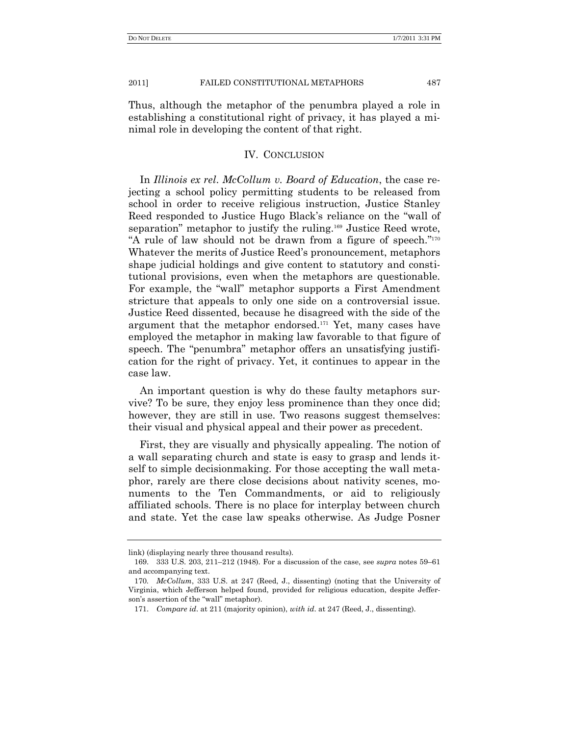Thus, although the metaphor of the penumbra played a role in establishing a constitutional right of privacy, it has played a minimal role in developing the content of that right.

# IV. CONCLUSION

In *Illinois ex rel*. *McCollum v. Board of Education*, the case rejecting a school policy permitting students to be released from school in order to receive religious instruction, Justice Stanley Reed responded to Justice Hugo Black's reliance on the "wall of separation" metaphor to justify the ruling.<sup>169</sup> Justice Reed wrote, "A rule of law should not be drawn from a figure of speech."<sup>170</sup> Whatever the merits of Justice Reed's pronouncement, metaphors shape judicial holdings and give content to statutory and constitutional provisions, even when the metaphors are questionable. For example, the "wall" metaphor supports a First Amendment stricture that appeals to only one side on a controversial issue. Justice Reed dissented, because he disagreed with the side of the argument that the metaphor endorsed.<sup>171</sup> Yet, many cases have employed the metaphor in making law favorable to that figure of speech. The "penumbra" metaphor offers an unsatisfying justification for the right of privacy. Yet, it continues to appear in the case law.

An important question is why do these faulty metaphors survive? To be sure, they enjoy less prominence than they once did; however, they are still in use. Two reasons suggest themselves: their visual and physical appeal and their power as precedent.

First, they are visually and physically appealing. The notion of a wall separating church and state is easy to grasp and lends itself to simple decisionmaking. For those accepting the wall metaphor, rarely are there close decisions about nativity scenes, monuments to the Ten Commandments, or aid to religiously affiliated schools. There is no place for interplay between church and state. Yet the case law speaks otherwise. As Judge Posner

link) (displaying nearly three thousand results).

<sup>169.</sup> 333 U.S. 203, 211–212 (1948). For a discussion of the case, see *supra* notes 59–61 and accompanying text.

<sup>170</sup>*. McCollum*, 333 U.S. at 247 (Reed, J., dissenting) (noting that the University of Virginia, which Jefferson helped found, provided for religious education, despite Jefferson's assertion of the "wall" metaphor).

<sup>171.</sup> *Compare id*. at 211 (majority opinion), *with id*. at 247 (Reed, J., dissenting).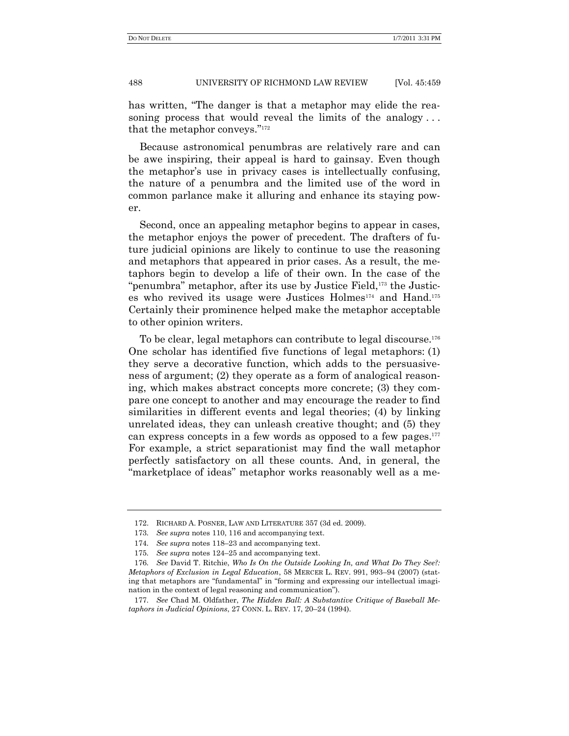has written, "The danger is that a metaphor may elide the reasoning process that would reveal the limits of the analogy... that the metaphor conveys."172

Because astronomical penumbras are relatively rare and can be awe inspiring, their appeal is hard to gainsay. Even though the metaphor's use in privacy cases is intellectually confusing, the nature of a penumbra and the limited use of the word in common parlance make it alluring and enhance its staying power.

Second, once an appealing metaphor begins to appear in cases, the metaphor enjoys the power of precedent. The drafters of future judicial opinions are likely to continue to use the reasoning and metaphors that appeared in prior cases. As a result, the metaphors begin to develop a life of their own. In the case of the "penumbra" metaphor, after its use by Justice Field, $173$  the Justices who revived its usage were Justices Holmes<sup>174</sup> and Hand.<sup>175</sup> Certainly their prominence helped make the metaphor acceptable to other opinion writers.

To be clear, legal metaphors can contribute to legal discourse.<sup>176</sup> One scholar has identified five functions of legal metaphors: (1) they serve a decorative function, which adds to the persuasiveness of argument; (2) they operate as a form of analogical reasoning, which makes abstract concepts more concrete; (3) they compare one concept to another and may encourage the reader to find similarities in different events and legal theories; (4) by linking unrelated ideas, they can unleash creative thought; and (5) they can express concepts in a few words as opposed to a few pages. $177$ For example, a strict separationist may find the wall metaphor perfectly satisfactory on all these counts. And, in general, the ―marketplace of ideas‖ metaphor works reasonably well as a me-

<sup>172.</sup> RICHARD A. POSNER, LAW AND LITERATURE 357 (3d ed. 2009).

<sup>173</sup>*. See supra* notes 110, 116 and accompanying text.

<sup>174</sup>*. See supra* notes 118–23 and accompanying text.

<sup>175</sup>*. See supra* notes 124–25 and accompanying text.

<sup>176</sup>*. See* David T. Ritchie, *Who Is On the Outside Looking In, and What Do They See?: Metaphors of Exclusion in Legal Education*, 58 MERCER L. REV. 991, 993–94 (2007) (stating that metaphors are "fundamental" in "forming and expressing our intellectual imagination in the context of legal reasoning and communication".

<sup>177</sup>*. See* Chad M. Oldfather, *The Hidden Ball: A Substantive Critique of Baseball Metaphors in Judicial Opinions*, 27 CONN. L. REV. 17, 20–24 (1994).